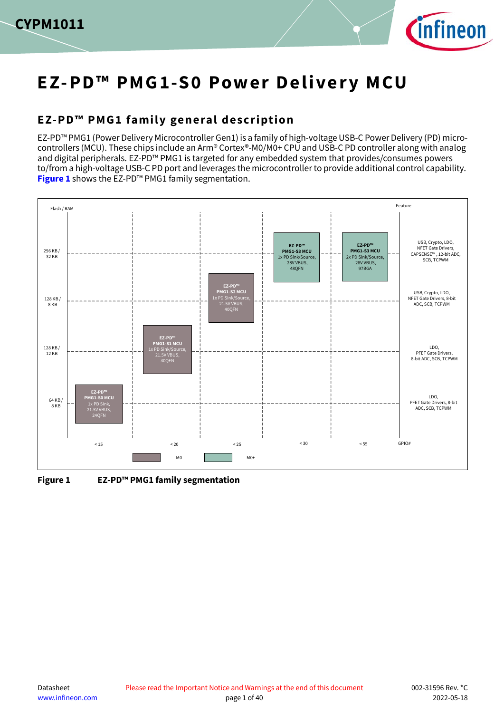



# **EZ-PD™ PMG1-S0 Power Delivery MCU**

## **EZ-PD™ PMG1 family general description**

EZ-PD™ PMG1 (Power Delivery Microcontroller Gen1) is a family of high-voltage USB-C Power Delivery (PD) microcontrollers (MCU). These chips include an Arm® Cortex®-M0/M0+ CPU and USB-C PD controller along with analog and digital peripherals. EZ-PD™ PMG1 is targeted for any embedded system that provides/consumes powers to/from a high-voltage USB-C PD port and leverages the microcontroller to provide additional control capability. **[Figure 1](#page-0-0)** shows the EZ-PD™ PMG1 family segmentation.



<span id="page-0-0"></span>**Figure 1 EZ-PD™ PMG1 family segmentation**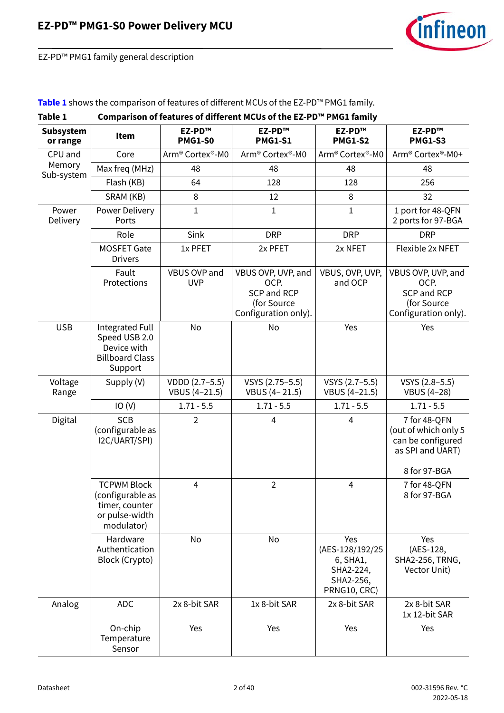

EZ-PD™ PMG1 family general description

<span id="page-1-0"></span>

| Table 1               |                                                                                          |                                 |                                                                                  | Comparison of features of different MCUs of the EZ-PD™ PMG1 family           |                                                                                  |  |  |  |  |
|-----------------------|------------------------------------------------------------------------------------------|---------------------------------|----------------------------------------------------------------------------------|------------------------------------------------------------------------------|----------------------------------------------------------------------------------|--|--|--|--|
| Subsystem<br>or range | Item                                                                                     | EZ-PD™<br><b>PMG1-S0</b>        | EZ-PD™<br><b>PMG1-S1</b>                                                         | EZ-PD™<br><b>PMG1-S2</b>                                                     | EZ-PD™<br><b>PMG1-S3</b>                                                         |  |  |  |  |
| CPU and               | Core                                                                                     | Arm® Cortex®-M0                 | Arm® Cortex®-M0                                                                  | Arm® Cortex®-M0                                                              | Arm® Cortex®-M0+                                                                 |  |  |  |  |
| Memory<br>Sub-system  | Max freq (MHz)                                                                           | 48                              | 48                                                                               | 48                                                                           | 48                                                                               |  |  |  |  |
|                       | Flash (KB)                                                                               | 64                              | 128                                                                              | 128                                                                          | 256                                                                              |  |  |  |  |
|                       | SRAM (KB)                                                                                | 8                               | 12                                                                               | 8                                                                            | 32                                                                               |  |  |  |  |
| Power<br>Delivery     | Power Delivery<br>Ports                                                                  | $\mathbf{1}$                    | 1                                                                                | $\mathbf 1$                                                                  | 1 port for 48-QFN<br>2 ports for 97-BGA                                          |  |  |  |  |
|                       | Role                                                                                     | Sink                            | <b>DRP</b>                                                                       | <b>DRP</b>                                                                   | <b>DRP</b>                                                                       |  |  |  |  |
|                       | <b>MOSFET Gate</b><br><b>Drivers</b>                                                     | 1x PFET                         | 2x PFET                                                                          | 2x NFET                                                                      | Flexible 2x NFET                                                                 |  |  |  |  |
|                       | Fault<br>Protections                                                                     | VBUS OVP and<br><b>UVP</b>      | VBUS OVP, UVP, and<br>OCP.<br>SCP and RCP<br>(for Source<br>Configuration only). | VBUS, OVP, UVP,<br>and OCP                                                   | VBUS OVP, UVP, and<br>OCP.<br>SCP and RCP<br>(for Source<br>Configuration only). |  |  |  |  |
| <b>USB</b>            | Integrated Full<br>Speed USB 2.0<br>Device with<br><b>Billboard Class</b><br>Support     | No                              | Yes<br>No                                                                        |                                                                              | Yes                                                                              |  |  |  |  |
| Voltage<br>Range      | Supply (V)                                                                               | VDDD (2.7-5.5)<br>VBUS (4-21.5) | VSYS (2.75-5.5)<br>VBUS (4-21.5)                                                 | VSYS (2.7-5.5)<br>VBUS (4-21.5)                                              | VSYS (2.8-5.5)<br>VBUS (4-28)                                                    |  |  |  |  |
|                       | IO(V)                                                                                    | $1.71 - 5.5$                    | $1.71 - 5.5$                                                                     | $1.71 - 5.5$                                                                 | $1.71 - 5.5$                                                                     |  |  |  |  |
| Digital               | <b>SCB</b><br>(configurable as<br>I2C/UART/SPI)                                          | 2                               | 4                                                                                | 4                                                                            | 7 for 48-QFN<br>(out of which only 5<br>can be configured<br>as SPI and UART)    |  |  |  |  |
|                       |                                                                                          |                                 |                                                                                  |                                                                              | 8 for 97-BGA                                                                     |  |  |  |  |
|                       | <b>TCPWM Block</b><br>(configurable as<br>timer, counter<br>or pulse-width<br>modulator) | 4                               | $\overline{2}$                                                                   | $\overline{4}$                                                               | 7 for 48-QFN<br>8 for 97-BGA                                                     |  |  |  |  |
|                       | Hardware<br>Authentication<br>Block (Crypto)                                             | No                              | No                                                                               | Yes<br>(AES-128/192/25<br>6, SHA1,<br>SHA2-224,<br>SHA2-256,<br>PRNG10, CRC) | Yes<br>(AES-128,<br>SHA2-256, TRNG,<br>Vector Unit)                              |  |  |  |  |
| Analog                | <b>ADC</b>                                                                               | 2x 8-bit SAR                    | 1x 8-bit SAR                                                                     | 2x 8-bit SAR                                                                 | 2x 8-bit SAR<br>1x 12-bit SAR                                                    |  |  |  |  |
|                       | On-chip<br>Temperature<br>Sensor                                                         | Yes                             | Yes                                                                              | Yes                                                                          | Yes                                                                              |  |  |  |  |

## **[Table 1](#page-1-0)** shows the comparison of features of different MCUs of the EZ-PD™ PMG1 family.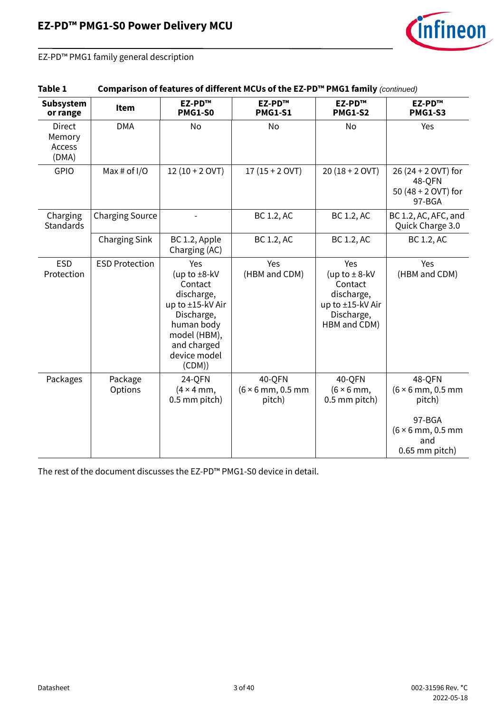

EZ-PD™ PMG1 family general description

| anc T                               | COMPANJONI UN IGALUI   | <b>VI UILICI CIIL</b>                                                                                                                                      | 609 OF GIT ELT                               | ן ויוש <b>ב ומווווע</b> (וויוסו ב                                                                   |                                                                                                             |
|-------------------------------------|------------------------|------------------------------------------------------------------------------------------------------------------------------------------------------------|----------------------------------------------|-----------------------------------------------------------------------------------------------------|-------------------------------------------------------------------------------------------------------------|
| Subsystem<br>or range               | Item                   | EZ-PD™<br><b>PMG1-S0</b>                                                                                                                                   | EZ-PD™<br><b>PMG1-S1</b>                     | EZ-PD™<br><b>PMG1-S2</b>                                                                            | EZ-PD™<br><b>PMG1-S3</b>                                                                                    |
| Direct<br>Memory<br>Access<br>(DMA) | <b>DMA</b>             | No                                                                                                                                                         | No                                           | No                                                                                                  | Yes                                                                                                         |
| GPIO                                | Max # of $I/O$         | $12(10 + 2$ OVT)                                                                                                                                           | $17(15 + 2$ OVT)                             | $20(18 + 2$ OVT)                                                                                    | 26 (24 + 2 OVT) for<br>48-QFN<br>50 (48 + 2 OVT) for<br>97-BGA                                              |
| Charging<br><b>Standards</b>        | <b>Charging Source</b> |                                                                                                                                                            | BC 1.2, AC                                   | BC 1.2, AC                                                                                          | BC 1.2, AC, AFC, and<br>Quick Charge 3.0                                                                    |
|                                     | <b>Charging Sink</b>   | BC 1.2, Apple<br>Charging (AC)                                                                                                                             | BC 1.2, AC                                   | BC 1.2, AC                                                                                          | BC 1.2, AC                                                                                                  |
| <b>ESD</b><br>Protection            | <b>ESD Protection</b>  | Yes<br>(up to $\pm$ 8-kV<br>Contact<br>discharge,<br>up to ±15-kV Air<br>Discharge,<br>human body<br>model (HBM),<br>and charged<br>device model<br>(CDM)) | Yes<br>(HBM and CDM)                         | Yes<br>(up to $\pm$ 8-kV<br>Contact<br>discharge,<br>up to ±15-kV Air<br>Discharge,<br>HBM and CDM) | Yes<br>(HBM and CDM)                                                                                        |
| Packages                            | Package<br>Options     | 24-QFN<br>$(4 \times 4$ mm,<br>0.5 mm pitch)                                                                                                               | 40-QFN<br>$(6 \times 6$ mm, 0.5 mm<br>pitch) | 40-QFN<br>$(6 \times 6$ mm,<br>0.5 mm pitch)                                                        | 48-QFN<br>$(6 \times 6$ mm, 0.5 mm<br>pitch)<br>97-BGA<br>$(6 \times 6$ mm, 0.5 mm<br>and<br>0.65 mm pitch) |

**Table 1 Comparison of features of different MCUs of the EZ-PD™ PMG1 family** *(continued)*

The rest of the document discusses the EZ-PD™ PMG1-S0 device in detail.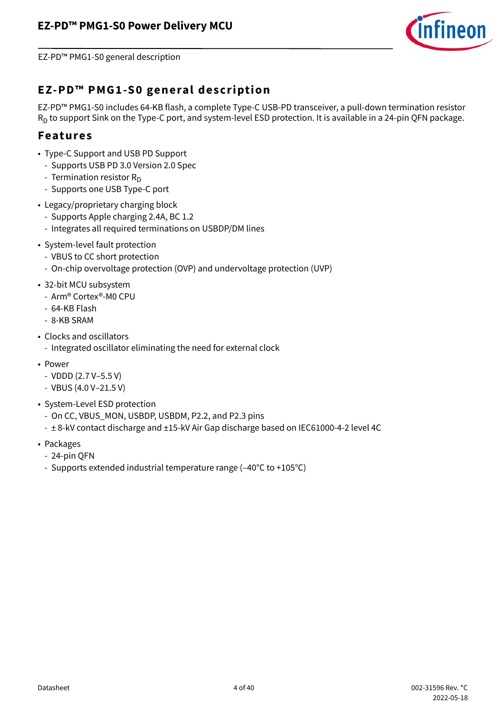

EZ-PD™ PMG1-S0 general description

## <span id="page-3-0"></span>**EZ-PD™ PMG1-S0 general description**

EZ-PD™ PMG1-S0 includes 64-KB flash, a complete Type-C USB-PD transceiver, a pull-down termination resistor  $R_D$  to support Sink on the Type-C port, and system-level ESD protection. It is available in a 24-pin QFN package.

## <span id="page-3-1"></span>**Features**

- Type-C Support and USB PD Support
	- Supports USB PD 3.0 Version 2.0 Spec
	- Termination resistor  $R_D$
	- Supports one USB Type-C port
- Legacy/proprietary charging block
	- Supports Apple charging 2.4A, BC 1.2
	- Integrates all required terminations on USBDP/DM lines
- System-level fault protection
	- VBUS to CC short protection
	- On-chip overvoltage protection (OVP) and undervoltage protection (UVP)
- 32-bit MCU subsystem
	- Arm® Cortex®-M0 CPU
	- 64-KB Flash
	- 8-KB SRAM
- Clocks and oscillators
	- Integrated oscillator eliminating the need for external clock
- Power
	- VDDD (2.7 V–5.5 V)
	- VBUS (4.0 V–21.5 V)
- System-Level ESD protection
	- On CC, VBUS\_MON, USBDP, USBDM, P2.2, and P2.3 pins
	- ± 8-kV contact discharge and ±15-kV Air Gap discharge based on IEC61000-4-2 level 4C
- Packages
	- 24-pin QFN
	- Supports extended industrial temperature range (–40°C to +105°C)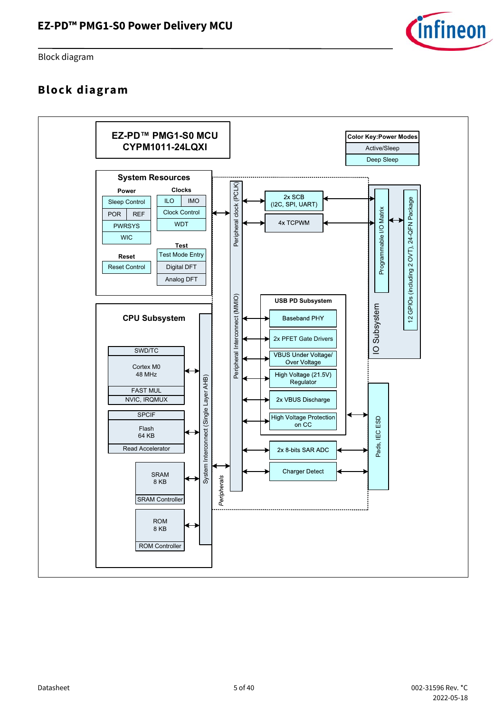

Block diagram

## <span id="page-4-0"></span>**Block diagram**

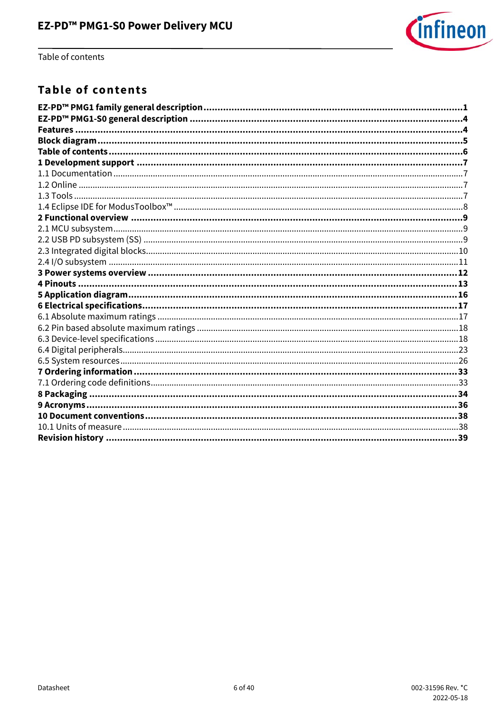

Table of contents

## <span id="page-5-0"></span>**Table of contents**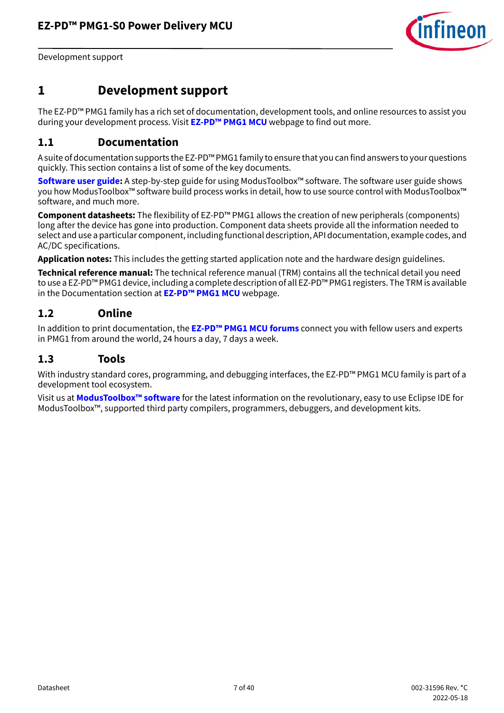

Development support

## <span id="page-6-0"></span>**1 Development support**

The EZ-PD™ PMG1 family has a rich set of documentation, development tools, and online resources to assist you during your development process. Visit **[EZ-PD™ PMG1 MCU](https://www.infineon.com/cms/en/product/universal-serial-bus-usb-power-delivery-controller/usb-c-and-power-delivery/ez-pd-pmg1-portfolio-high-voltage-mcus-usb-c-power-delivery/)** webpage to find out more.

### <span id="page-6-1"></span>**1.1 Documentation**

A suite of documentation supports the EZ-PD™ PMG1 family to ensure that you can find answers to your questions quickly. This section contains a list of some of the key documents.

**[Software user guide:](https://www.infineon.com/dgdl/Infineon-ModusToolbox_2.2_User_Guide-Software-v02_40-EN.pdf?fileId=8ac78c8c7e7124d1017e912544870cb3&utm_source=cypress&utm_medium=referral&utm_campaign=202110_globe_en_all_integration-files)** A step-by-step guide for using ModusToolbox™ software. The software user guide shows you how ModusToolbox™ software build process works in detail, how to use source control with ModusToolbox™ software, and much more.

**Component datasheets:** The flexibility of EZ-PD™ PMG1 allows the creation of new peripherals (components) long after the device has gone into production. Component data sheets provide all the information needed to select and use a particular component, including functional description, API documentation, example codes, and AC/DC specifications.

**Application notes:** This includes the getting started application note and the hardware design guidelines.

**Technical reference manual:** The technical reference manual (TRM) contains all the technical detail you need to use a EZ-PD™ PMG1 device, including a complete description of all EZ-PD™ PMG1 registers. The TRM is available in the Documentation section at **[EZ-PD™ PMG1 MCU](https://www.infineon.com/cms/en/product/universal-serial-bus-usb-power-delivery-controller/usb-c-and-power-delivery/ez-pd-pmg1-portfolio-high-voltage-mcus-usb-c-power-delivery/)** webpage.

### <span id="page-6-2"></span>**1.2 Online**

In addition to print documentation, the **[EZ-PD™ PMG1 MCU forums](https://community.infineon.com/t5/USB-EZ-PD-Type-C/bd-p/USBEZPDTypeC)** connect you with fellow users and experts in PMG1 from around the world, 24 hours a day, 7 days a week.

### <span id="page-6-3"></span>**1.3 Tools**

With industry standard cores, programming, and debugging interfaces, the EZ-PD™ PMG1 MCU family is part of a development tool ecosystem.

Visit us at **[ModusToolbox™ software](https://www.infineon.com/cms/en/design-support/tools/sdk/modustoolbox-software/)** for the latest information on the revolutionary, easy to use Eclipse IDE for ModusToolbox™, supported third party compilers, programmers, debuggers, and development kits.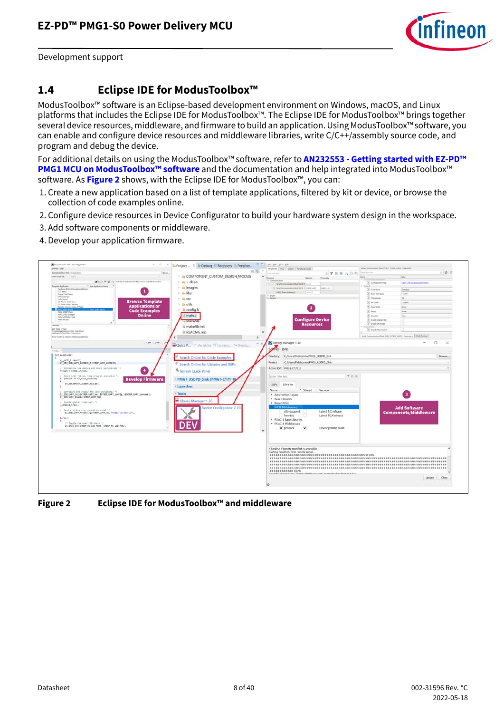

Development support

## <span id="page-7-0"></span>**1.4 Eclipse IDE for ModusToolbox™**

ModusToolbox™ software is an Eclipse-based development environment on Windows, macOS, and Linux platforms that includes the Eclipse IDE for ModusToolbox™. The Eclipse IDE for ModusToolbox™ brings together several device resources, middleware, and firmware to build an application. Using ModusToolbox™ software, you can enable and configure device resources and middleware libraries, write C/C++/assembly source code, and program and debug the device.

For additional details on using the ModusToolbox™ software, refer to **[AN232553 - Getting started with EZ-PD™](https://www.infineon.com/dgdl/Infineon-AN232553_Getting_started_with_EZ-PD_PMG1_MCU_on_ModusToolbox_software-ApplicationNotes-v02_00-EN.pdf?fileId=8ac78c8c7cdc391c017d0d3e98ed67ea)  [PMG1 MCU on ModusToolbox™ software](https://www.infineon.com/dgdl/Infineon-AN232553_Getting_started_with_EZ-PD_PMG1_MCU_on_ModusToolbox_software-ApplicationNotes-v02_00-EN.pdf?fileId=8ac78c8c7cdc391c017d0d3e98ed67ea)** and the documentation and help integrated into ModusToolbox™ software. As **[Figure 2](#page-7-1)** shows, with the Eclipse IDE for ModusToolbox™, you can:

- 1. Create a new application based on a list of template applications, filtered by kit or device, or browse the collection of code examples online.
- 2. Configure device resources in Device Configurator to build your hardware system design in the workspace.
- 3. Add software components or middleware.
- 4. Develop your application firmware.

| $-0$<br><b>NC</b> Project Creator 1.33 - Salect Application<br>Settings 1946                                    | 100<br>Project <sup>II</sup> <sup>to</sup> Debug <sup>III</sup> Registers in Peripher | <sup>23</sup> Cl., the Life year two<br>Ferghands.   Pins   System   Periphenal Clocks                        | Selal Communication Block (SCB) 1 (CHSP, UARS) - Ferenwiero                 |                                                |
|-----------------------------------------------------------------------------------------------------------------|---------------------------------------------------------------------------------------|---------------------------------------------------------------------------------------------------------------|-----------------------------------------------------------------------------|------------------------------------------------|
| <b>Assistances fixed Party: C. Amerynon</b>                                                                     | 日包<br>Bonn.                                                                           | Long Attacked                                                                                                 | <b>Exter Man Sell</b>                                                       | 20F                                            |
| Salest Target 128<br><b>College</b>                                                                             | > a COMPONENT CUSTOM DESIGN MODUS                                                     | <b>ATBEADD</b><br>$\hat{\phantom{a}}$                                                                         | <b>Nene</b>                                                                 | <b>Toky</b>                                    |
|                                                                                                                 |                                                                                       | Personality<br><b>Renetic</b><br>Resource:<br>1 Connecticutor                                                 | · Parkinson Deturnmental                                                    |                                                |
| [5] brand <sup>12</sup> [2] [2] make the to application for PHS2 strates order Wash Footback<br><b>Seattle</b>  | > Ra > deps                                                                           | Bend Communication Bluck (SOES) which                                                                         | (7) Configuration Help                                                      | <b>Gass WAT DCR Documentation</b>              |
| Template Application.<br>- These Application Name<br>CapTeros MSCsT Smutation Platform                          | <b>a</b> images                                                                       | 37. Smith Communication Block (SCB 1) CHER LIMIT<br><b>LAST-12 - &gt;</b>                                     | · Sanish<br>(2) Cars Marke                                                  | Stendard                                       |
| CCG dama<br><b>Empty PSoCA App</b>                                                                              | $\rightarrow$ $\Rightarrow$ libs                                                      | 105 C Power Delivery 2<br>College E.D.                                                                        | (7) Baud Aale (fam)                                                         | system                                         |
| <b>GPICI Internant</b><br><b>Hally World</b>                                                                    | $>$ $\frac{m}{2}$ SFC                                                                 | + Digital<br>A System                                                                                         | (7) Oversenate                                                              | $\mathbf{u}$                                   |
| <b>Browse Template</b><br>UC Marke EdDC Sleen                                                                   |                                                                                       |                                                                                                               | $(2)$ BEOWE                                                                 | Ltd Fest                                       |
| LIC Slave Using California<br><b>Applications or</b><br><b>Ninodic Interrupt Lising TCPWM</b>                   | > un utils                                                                            |                                                                                                               | (7) Data World                                                              | <b>Abru</b>                                    |
| <b>CONTRACTOR</b><br><b>PERMITTEN</b><br><b>Code Examples</b><br><b>FING</b> LISBITO SHE                        | config.h                                                                              |                                                                                                               | $(7)$ Party                                                                 | None                                           |
| PMG153 PD Exemple<br><b>Online</b><br>PMG153 SROM Code                                                          | main.c                                                                                |                                                                                                               | (2) Brat Rits                                                               | the                                            |
| <b>Friest Modes</b>                                                                                             | <b>Makethe</b>                                                                        | <b>Configure Device</b>                                                                                       | (7) Enable Digital Filter                                                   |                                                |
| i all                                                                                                           |                                                                                       | <b>Resources</b>                                                                                              | (7) Enable LPI mode                                                         |                                                |
| <b>BR INGI-CYTER</b>                                                                                            | <b>B</b> makefile.init                                                                |                                                                                                               | $-$ Hertens<br>(7) Enable Flow Control                                      |                                                |
| Template Application(s): IRM(2 Padis Mount)<br>Applicational fixed Fath: C.Alsershirts                          | <b>B README.md</b>                                                                    |                                                                                                               |                                                                             |                                                |
| Press "Create" to conda the selected application(s).                                                            | $\lambda$                                                                             |                                                                                                               | Smid Communication Block (SCB) 1 (CVEIP LIART) - Parameters   Clob Pressent |                                                |
| + bot Date 1                                                                                                    | Quick P., Im Variables <sup>et</sup> Express. <sup>e</sup> Breakp.,                   | Library Manager 1.30<br>12.77                                                                                 |                                                                             | $\Box$<br>$\times$<br>$\overline{\phantom{a}}$ |
| Weight #                                                                                                        |                                                                                       | Searings Help                                                                                                 |                                                                             |                                                |
| -int main(void)                                                                                                 | Search Online for Code Examples                                                       | Directory: C./Users/Public/mtw/PMG1_USBPD_Sink                                                                |                                                                             | Browse.                                        |
| cy_ralt_t result;<br>(cy_stc_scb_uart_context_t CVBSP_UART_context;                                             | <sup>P</sup> Search Online for Libraries and BSPs                                     | C:/Users/Public/mbx/PMG1_USBPD_Sink<br>Project:                                                               |                                                                             |                                                |
| /* Initialize the decire and board peripherals */<br>л<br>result = cybap_init();                                | Refresh Quick Panel                                                                   | Active BSP: PMG1-CY7110                                                                                       |                                                                             |                                                |
| /* Soard init failed. Stop program execution */                                                                 |                                                                                       | <b>VER</b><br>Enter filter text                                                                               |                                                                             |                                                |
| if (result is CV RSLT SUCCESS)<br><b>Develop Firmware</b>                                                       | · PMG1 USBPD Sink (PMG1-CY7110)                                                       |                                                                                                               |                                                                             |                                                |
| CY. ASSERTICY_ASSERT_FAILED);                                                                                   | <b>* Launches</b>                                                                     | Libraries<br><b>BSPs</b>                                                                                      |                                                                             |                                                |
| /* Configure and enable the UART peripheral */                                                                  |                                                                                       | A Shared<br>Name<br>Version                                                                                   |                                                                             |                                                |
| Cy_SCR_UART_Init(CVBSP_UART_HA, &CVBSP_UART_config, &CVBSP_UART_context);<br>Cy SCB UART Enable(CYBSP UART He); | - Tools                                                                               | * Abstraction Layers<br><b>Base Libraries</b>                                                                 |                                                                             | 3                                              |
| /* frable global interrupts */<br>_enable_iro();                                                                | Library Manager 1.30                                                                  | * Board Utils                                                                                                 |                                                                             |                                                |
| /* Sand a string over serial terminal */                                                                        | Device Configurator 2.20                                                              | MCD Middleware<br>Latest 1.X release<br>dib-support                                                           |                                                                             | <b>Add Software</b>                            |
| Cy_SCR_UART_PutString(CYRSP_UART_HW, "Hello world'u'un");                                                       |                                                                                       | Latest 10.X release<br>freertos                                                                               |                                                                             | <b>Components/Middleware</b>                   |
| $for$ $(z_2)$                                                                                                   |                                                                                       | > PSoC 4 Base Libraries                                                                                       |                                                                             |                                                |
| /* Toggla the user LED state "/                                                                                 |                                                                                       | * PSoC 4 Middleware                                                                                           |                                                                             |                                                |
| Cy GPID Inv(CYBSP FW LED PORT, CYBSP FW LED PIN);                                                               |                                                                                       | V pdstack<br>Development build                                                                                |                                                                             |                                                |
|                                                                                                                 |                                                                                       | $\ddot{\phantom{1}}$                                                                                          |                                                                             |                                                |
|                                                                                                                 |                                                                                       |                                                                                                               |                                                                             |                                                |
|                                                                                                                 |                                                                                       |                                                                                                               |                                                                             |                                                |
|                                                                                                                 |                                                                                       |                                                                                                               |                                                                             |                                                |
|                                                                                                                 |                                                                                       | Checking if remote manifest is accessible<br>Getting manifests from remote server                             |                                                                             |                                                |
|                                                                                                                 |                                                                                       |                                                                                                               |                                                                             |                                                |
|                                                                                                                 |                                                                                       |                                                                                                               |                                                                             |                                                |
|                                                                                                                 |                                                                                       |                                                                                                               |                                                                             |                                                |
|                                                                                                                 |                                                                                       |                                                                                                               |                                                                             |                                                |
|                                                                                                                 |                                                                                       | sazazzazzazz 100%<br>Faces of Folkbooks basis. Thomas, distributions, some I may keep a allowed months of law |                                                                             |                                                |
|                                                                                                                 |                                                                                       |                                                                                                               |                                                                             | Update<br>Close                                |
|                                                                                                                 |                                                                                       |                                                                                                               |                                                                             |                                                |
|                                                                                                                 |                                                                                       |                                                                                                               |                                                                             |                                                |

<span id="page-7-1"></span>**Figure 2 Eclipse IDE for ModusToolbox™ and middleware**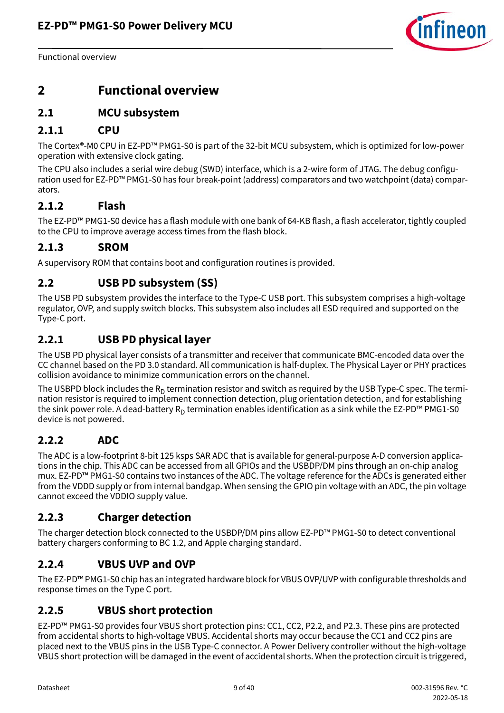

Functional overview

## <span id="page-8-0"></span>**2 Functional overview**

## <span id="page-8-1"></span>**2.1 MCU subsystem**

### **2.1.1 CPU**

The Cortex®-M0 CPU in EZ-PD™ PMG1-S0 is part of the 32-bit MCU subsystem, which is optimized for low-power operation with extensive clock gating.

The CPU also includes a serial wire debug (SWD) interface, which is a 2-wire form of JTAG. The debug configuration used for EZ-PD™ PMG1-S0 has four break-point (address) comparators and two watchpoint (data) comparators.

### **2.1.2 Flash**

The EZ-PD™ PMG1-S0 device has a flash module with one bank of 64-KB flash, a flash accelerator, tightly coupled to the CPU to improve average access times from the flash block.

### **2.1.3 SROM**

A supervisory ROM that contains boot and configuration routines is provided.

## <span id="page-8-2"></span>**2.2 USB PD subsystem (SS)**

The USB PD subsystem provides the interface to the Type-C USB port. This subsystem comprises a high-voltage regulator, OVP, and supply switch blocks. This subsystem also includes all ESD required and supported on the Type-C port.

## **2.2.1 USB PD physical layer**

The USB PD physical layer consists of a transmitter and receiver that communicate BMC-encoded data over the CC channel based on the PD 3.0 standard. All communication is half-duplex. The Physical Layer or PHY practices collision avoidance to minimize communication errors on the channel.

The USBPD block includes the  $R_D$  termination resistor and switch as required by the USB Type-C spec. The termination resistor is required to implement connection detection, plug orientation detection, and for establishing the sink power role. A dead-battery  $R_D$  termination enables identification as a sink while the EZ-PD<sup>™</sup> PMG1-S0 device is not powered.

### **2.2.2 ADC**

The ADC is a low-footprint 8-bit 125 ksps SAR ADC that is available for general-purpose A-D conversion applications in the chip. This ADC can be accessed from all GPIOs and the USBDP/DM pins through an on-chip analog mux. EZ-PD™ PMG1-S0 contains two instances of the ADC. The voltage reference for the ADCs is generated either from the VDDD supply or from internal bandgap. When sensing the GPIO pin voltage with an ADC, the pin voltage cannot exceed the VDDIO supply value.

### **2.2.3 Charger detection**

The charger detection block connected to the USBDP/DM pins allow EZ-PD™ PMG1-S0 to detect conventional battery chargers conforming to BC 1.2, and Apple charging standard.

### **2.2.4 VBUS UVP and OVP**

The EZ-PD™ PMG1-S0 chip has an integrated hardware block for VBUS OVP/UVP with configurable thresholds and response times on the Type C port.

### **2.2.5 VBUS short protection**

EZ-PD™ PMG1-S0 provides four VBUS short protection pins: CC1, CC2, P2.2, and P2.3. These pins are protected from accidental shorts to high-voltage VBUS. Accidental shorts may occur because the CC1 and CC2 pins are placed next to the VBUS pins in the USB Type-C connector. A Power Delivery controller without the high-voltage VBUS short protection will be damaged in the event of accidental shorts. When the protection circuit is triggered,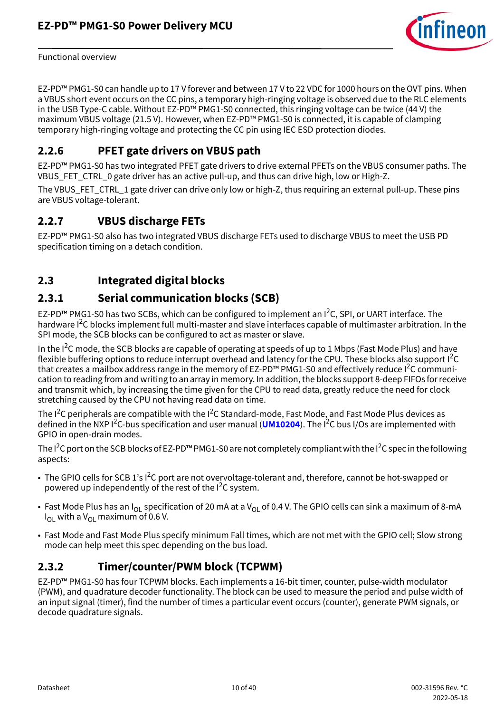

Functional overview

EZ-PD™ PMG1-S0 can handle up to 17 V forever and between 17 V to 22 VDC for 1000 hours on the OVT pins. When a VBUS short event occurs on the CC pins, a temporary high-ringing voltage is observed due to the RLC elements in the USB Type-C cable. Without EZ-PD™ PMG1-S0 connected, this ringing voltage can be twice (44 V) the maximum VBUS voltage (21.5 V). However, when EZ-PD™ PMG1-S0 is connected, it is capable of clamping temporary high-ringing voltage and protecting the CC pin using IEC ESD protection diodes.

## **2.2.6 PFET gate drivers on VBUS path**

EZ-PD™ PMG1-S0 has two integrated PFET gate drivers to drive external PFETs on the VBUS consumer paths. The VBUS\_FET\_CTRL\_0 gate driver has an active pull-up, and thus can drive high, low or High-Z.

The VBUS\_FET\_CTRL\_1 gate driver can drive only low or high-Z, thus requiring an external pull-up. These pins are VBUS voltage-tolerant.

## **2.2.7 VBUS discharge FETs**

EZ-PD™ PMG1-S0 also has two integrated VBUS discharge FETs used to discharge VBUS to meet the USB PD specification timing on a detach condition.

## <span id="page-9-0"></span>**2.3 Integrated digital blocks**

## **2.3.1 Serial communication blocks (SCB)**

EZ-PD™ PMG1-S0 has two SCBs, which can be configured to implement an  $1^2C$ , SPI, or UART interface. The hardware I<sup>2</sup>C blocks implement full multi-master and slave interfaces capable of multimaster arbitration. In the SPI mode, the SCB blocks can be configured to act as master or slave.

In the I<sup>2</sup>C mode, the SCB blocks are capable of operating at speeds of up to 1 Mbps (Fast Mode Plus) and have flexible buffering options to reduce interrupt overhead and latency for the CPU. These blocks also support I<sup>2</sup>C that creates a mailbox address range in the memory of EZ-PD™ PMG1-S0 and effectively reduce I<sup>2</sup>C communication to reading from and writing to an array in memory. In addition, the blocks support 8-deep FIFOs for receive and transmit which, by increasing the time given for the CPU to read data, greatly reduce the need for clock stretching caused by the CPU not having read data on time.

The I<sup>2</sup>C peripherals are compatible with the I<sup>2</sup>C Standard-mode, Fast Mode, and Fast Mode Plus devices as defined in the NXP I<sup>2</sup>C-bus specification and user manual (**[UM10204](http://www.nxp.com/documents/user_manual/UM10204.pdf)**). The I<sup>2</sup>C bus I/Os are implemented with GPIO in open-drain modes.

The I<sup>2</sup>C port on the SCB blocks of EZ-PD<sup>™</sup> PMG1-S0 are not completely compliant with the I<sup>2</sup>C spec in the following aspects:

- The GPIO cells for SCB 1's I<sup>2</sup>C port are not overvoltage-tolerant and, therefore, cannot be hot-swapped or powered up independently of the rest of the I2C system.
- Fast Mode Plus has an  $I_{\text{OL}}$  specification of 20 mA at a  $V_{\text{OL}}$  of 0.4 V. The GPIO cells can sink a maximum of 8-mA  $I_{\text{OL}}$  with a V<sub>OL</sub> maximum of 0.6 V.
- Fast Mode and Fast Mode Plus specify minimum Fall times, which are not met with the GPIO cell; Slow strong mode can help meet this spec depending on the bus load.

## **2.3.2 Timer/counter/PWM block (TCPWM)**

EZ-PD™ PMG1-S0 has four TCPWM blocks. Each implements a 16-bit timer, counter, pulse-width modulator (PWM), and quadrature decoder functionality. The block can be used to measure the period and pulse width of an input signal (timer), find the number of times a particular event occurs (counter), generate PWM signals, or decode quadrature signals.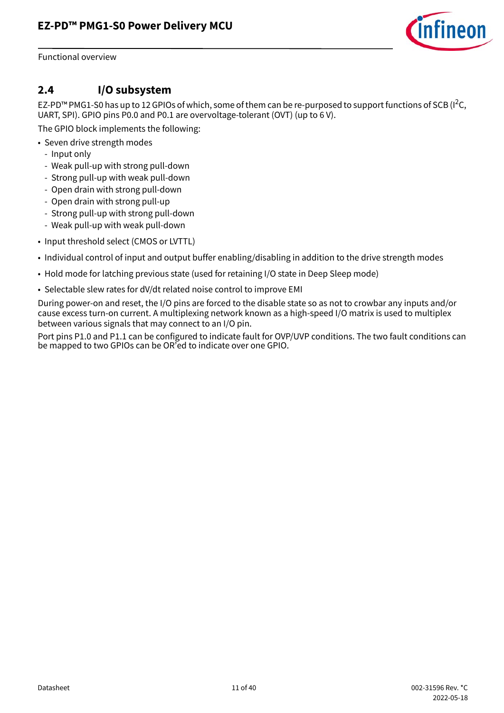

Functional overview

## <span id="page-10-0"></span>**2.4 I/O subsystem**

EZ-PD™ PMG1-S0 has up to 12 GPIOs of which, some of them can be re-purposed to support functions of SCB (I<sup>2</sup>C, UART, SPI). GPIO pins P0.0 and P0.1 are overvoltage-tolerant (OVT) (up to 6 V).

The GPIO block implements the following:

- Seven drive strength modes
	- Input only
	- Weak pull-up with strong pull-down
	- Strong pull-up with weak pull-down
	- Open drain with strong pull-down
	- Open drain with strong pull-up
	- Strong pull-up with strong pull-down
	- Weak pull-up with weak pull-down
- Input threshold select (CMOS or LVTTL)
- Individual control of input and output buffer enabling/disabling in addition to the drive strength modes
- Hold mode for latching previous state (used for retaining I/O state in Deep Sleep mode)
- Selectable slew rates for dV/dt related noise control to improve EMI

During power-on and reset, the I/O pins are forced to the disable state so as not to crowbar any inputs and/or cause excess turn-on current. A multiplexing network known as a high-speed I/O matrix is used to multiplex between various signals that may connect to an I/O pin.

Port pins P1.0 and P1.1 can be configured to indicate fault for OVP/UVP conditions. The two fault conditions can be mapped to two GPIOs can be OR'ed to indicate over one GPIO.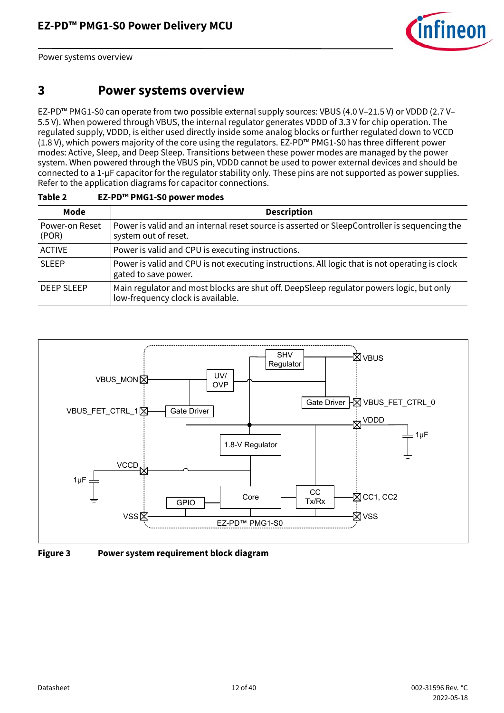

Power systems overview

## <span id="page-11-0"></span>**3 Power systems overview**

EZ-PD™ PMG1-S0 can operate from two possible external supply sources: VBUS (4.0 V–21.5 V) or VDDD (2.7 V– 5.5 V). When powered through VBUS, the internal regulator generates VDDD of 3.3 V for chip operation. The regulated supply, VDDD, is either used directly inside some analog blocks or further regulated down to VCCD (1.8 V), which powers majority of the core using the regulators. EZ-PD™ PMG1-S0 has three different power modes: Active, Sleep, and Deep Sleep. Transitions between these power modes are managed by the power system. When powered through the VBUS pin, VDDD cannot be used to power external devices and should be connected to a 1-µF capacitor for the regulator stability only. These pins are not supported as power supplies. Refer to the application diagrams for capacitor connections.

| Mode                    | <b>Description</b>                                                                                                           |
|-------------------------|------------------------------------------------------------------------------------------------------------------------------|
| Power-on Reset<br>(POR) | Power is valid and an internal reset source is asserted or SleepController is sequencing the<br>system out of reset.         |
| <b>ACTIVE</b>           | Power is valid and CPU is executing instructions.                                                                            |
| <b>SLEEP</b>            | Power is valid and CPU is not executing instructions. All logic that is not operating is clock<br>gated to save power.       |
| DEEP SLEEP              | Main regulator and most blocks are shut off. DeepSleep regulator powers logic, but only<br>low-frequency clock is available. |







**Figure 3 Power system requirement block diagram**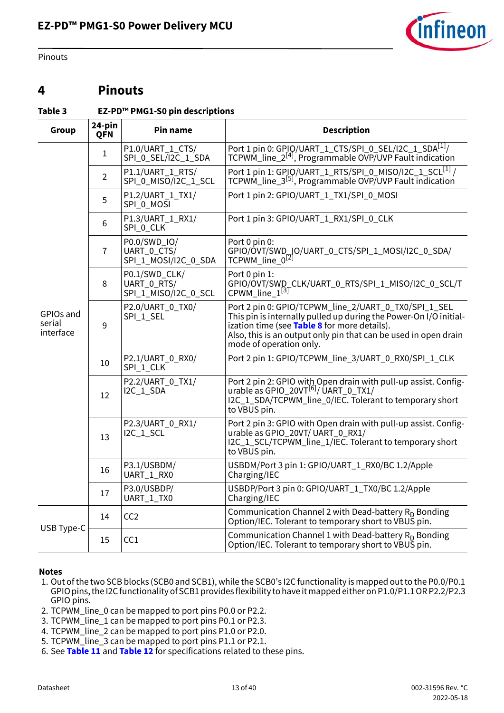

Pinouts

## <span id="page-12-0"></span>**4 Pinouts**

#### <span id="page-12-7"></span>**Table 3 EZ-PD™ PMG1-S0 pin descriptions**

| Group                            | 24-pin<br>QFN  | Pin name                                             | <b>Description</b>                                                                                                                                                                                                                                                      |
|----------------------------------|----------------|------------------------------------------------------|-------------------------------------------------------------------------------------------------------------------------------------------------------------------------------------------------------------------------------------------------------------------------|
|                                  | $\mathbf{1}$   | P1.0/UART_1_CTS/<br>SPI_0 SEL/I2C_1 SDA              | Port 1 pin 0: GPIO/UART_1_CTS/SPI_0_SEL/I2C_1_SDA <sup>[1]</sup> /<br>$TCPWM_Lline_2^{[4]}$ , Programmable OVP/UVP Fault indication                                                                                                                                     |
|                                  | $\overline{2}$ | P1.1/UART_1_RTS/<br>SPI_0_MISO/I2C_1_SCL             | Port 1 pin 1: GPIO/UART_1_RTS/SPI_0_MISO/I2C_1_SCL <sup>[1]</sup> /<br>TCPWM_line_3 <sup>[5]</sup> , Programmable OVP/UVP Fault indication                                                                                                                              |
|                                  | 5              | P1.2/UART_1_TX1/<br>SPI_0_MOSI                       | Port 1 pin 2: GPIO/UART_1_TX1/SPI_0_MOSI                                                                                                                                                                                                                                |
|                                  | $6\,$          | P1.3/UART_1_RX1/<br>SPI_0_CLK                        | Port 1 pin 3: GPIO/UART_1_RX1/SPI_0_CLK                                                                                                                                                                                                                                 |
|                                  | $\overline{1}$ | P0.0/SWD_IO/<br>UART_0_CTS/<br>SPI_1_MOSI/I2C_0_SDA  | Port 0 pin 0:<br>GPIO/OVT/SWD_IO/UART_0_CTS/SPI_1_MOSI/I2C_0_SDA/<br>TCPWM_line_0 <sup>[2]</sup>                                                                                                                                                                        |
|                                  | 8              | P0.1/SWD_CLK/<br>UART_0_RTS/<br>SPI_1_MISO/I2C_0_SCL | Port 0 pin 1:<br>GPIO/OVT/SWD_CLK/UART_0_RTS/SPI_1_MISO/I2C_0_SCL/T<br>CPWM_line_1 <sup>[3]</sup>                                                                                                                                                                       |
| GPIOs and<br>serial<br>interface | 9              | P2.0/UART_0_TX0/<br>SPI_1_SEL                        | Port 2 pin 0: GPIO/TCPWM_line_2/UART_0_TX0/SPI_1_SEL<br>This pin is internally pulled up during the Power-On I/O initial-<br>ization time (see Table 8 for more details).<br>Also, this is an output only pin that can be used in open drain<br>mode of operation only. |
|                                  | 10             | P2.1/UART_0_RX0/<br>SPI_1_CLK                        | Port 2 pin 1: GPIO/TCPWM_line_3/UART_0_RX0/SPI_1_CLK                                                                                                                                                                                                                    |
|                                  | 12             | P2.2/UART_0_TX1/<br>I2C_1_SDA                        | Port 2 pin 2: GPIO with Open drain with pull-up assist. Config-<br>urable as GPIO_20VT <sup>[6]</sup> / UART_0_TX1/<br>I2C_1_SDA/TCPWM_line_0/IEC. Tolerant to temporary short<br>to VBUS pin.                                                                          |
|                                  | 13             | P2.3/UART_0_RX1/<br>I2C_1_SCL                        | Port 2 pin 3: GPIO with Open drain with pull-up assist. Config-<br>urable as GPIO_20VT/ UART_0_RX1/<br>I2C_1_SCL/TCPWM_line_1/IEC. Tolerant to temporary short<br>to VBUS pin.                                                                                          |
|                                  | 16             | P3.1/USBDM/<br>UART_1_RX0                            | USBDM/Port 3 pin 1: GPIO/UART_1_RX0/BC 1.2/Apple<br>Charging/IEC                                                                                                                                                                                                        |
|                                  | 17             | P3.0/USBDP/<br>UART_1_TX0                            | USBDP/Port 3 pin 0: GPIO/UART_1_TX0/BC 1.2/Apple<br>Charging/IEC                                                                                                                                                                                                        |
| USB Type-C                       | 14             | CC <sub>2</sub>                                      | Communication Channel 2 with Dead-battery R <sub>D</sub> Bonding<br>Option/IEC. Tolerant to temporary short to VBUS pin.                                                                                                                                                |
|                                  | 15             | CC1                                                  | Communication Channel 1 with Dead-battery R <sub>D</sub> Bonding<br>Option/IEC. Tolerant to temporary short to VBUS pin.                                                                                                                                                |

#### **Notes**

- <span id="page-12-1"></span>1. Out of the two SCB blocks (SCB0 and SCB1), while the SCB0's I2C functionality is mapped out to the P0.0/P0.1 GPIO pins, the I2C functionality of SCB1 provides flexibility to have it mapped either on P1.0/P1.1 OR P2.2/P2.3 GPIO pins.
- <span id="page-12-4"></span>2. TCPWM\_line\_0 can be mapped to port pins P0.0 or P2.2.
- <span id="page-12-5"></span>3. TCPWM\_line\_1 can be mapped to port pins P0.1 or P2.3.
- <span id="page-12-2"></span>4. TCPWM\_line\_2 can be mapped to port pins P1.0 or P2.0.
- <span id="page-12-3"></span>5. TCPWM\_line\_3 can be mapped to port pins P1.1 or P2.1.
- <span id="page-12-6"></span>6. See **[Table 11](#page-21-0)** and **[Table 12](#page-21-1)** for specifications related to these pins.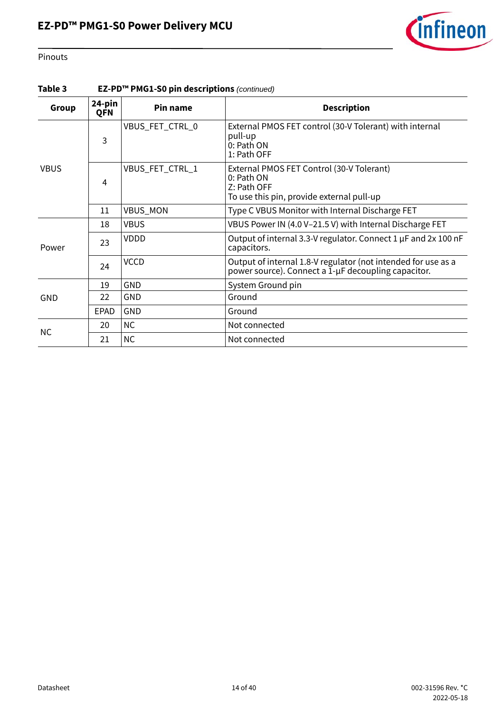

#### Pinouts

| Group       | 24-pin<br><b>QFN</b> | Pin name        | <b>Description</b>                                                                                                   |  |  |  |  |
|-------------|----------------------|-----------------|----------------------------------------------------------------------------------------------------------------------|--|--|--|--|
|             | 3                    | VBUS_FET_CTRL_0 | External PMOS FET control (30-V Tolerant) with internal<br>pull-up<br>0: Path ON<br>1: Path OFF                      |  |  |  |  |
| <b>VBUS</b> | 4                    | VBUS_FET_CTRL_1 | External PMOS FET Control (30-V Tolerant)<br>0: Path ON<br>Z: Path OFF<br>To use this pin, provide external pull-up  |  |  |  |  |
|             | 11                   | VBUS_MON        | Type C VBUS Monitor with Internal Discharge FET                                                                      |  |  |  |  |
|             | 18                   | <b>VBUS</b>     | VBUS Power IN (4.0 V-21.5 V) with Internal Discharge FET                                                             |  |  |  |  |
| Power       | 23                   | VDDD            | Output of internal 3.3-V regulator. Connect 1 µF and 2x 100 nF<br>capacitors.                                        |  |  |  |  |
|             | 24                   | <b>VCCD</b>     | Output of internal 1.8-V regulator (not intended for use as a<br>power source). Connect a 1-µF decoupling capacitor. |  |  |  |  |
|             | 19                   | GND             | System Ground pin                                                                                                    |  |  |  |  |
| GND         | 22                   | <b>GND</b>      | Ground                                                                                                               |  |  |  |  |
|             | <b>EPAD</b>          | <b>GND</b>      | Ground                                                                                                               |  |  |  |  |
| <b>NC</b>   | 20                   | <b>NC</b>       | Not connected                                                                                                        |  |  |  |  |
|             | 21                   | <b>NC</b>       | Not connected                                                                                                        |  |  |  |  |

#### **Table 3 EZ-PD™ PMG1-S0 pin descriptions** *(continued)*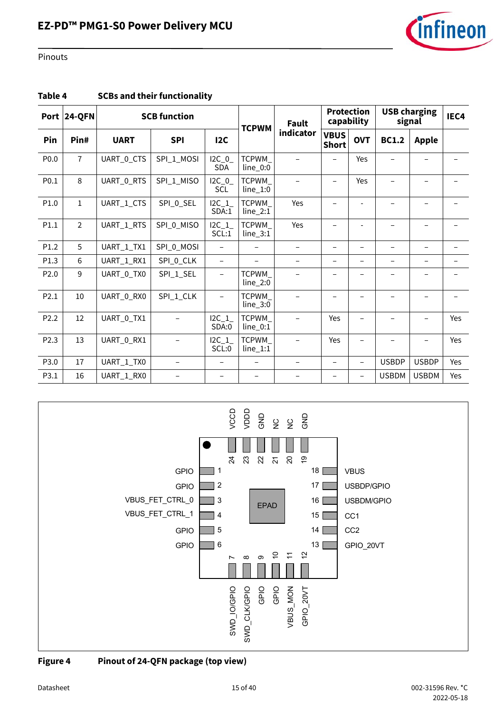

Pinouts

|                  | Port 24-QFN    |             | <b>SCB function</b>      |                           | <b>TCPWM</b>               | <b>Fault</b>      | <b>Protection</b><br>capability |                          |                          | <b>USB charging</b><br>signal | IEC4                     |
|------------------|----------------|-------------|--------------------------|---------------------------|----------------------------|-------------------|---------------------------------|--------------------------|--------------------------|-------------------------------|--------------------------|
| Pin              | Pin#           | <b>UART</b> | <b>SPI</b>               | 12C                       |                            | indicator         | <b>VBUS</b><br><b>Short</b>     | <b>OVT</b>               | <b>BC1.2</b>             | <b>Apple</b>                  |                          |
| P0.0             | $\overline{7}$ | UART_0_CTS  | SPI_1_MOSI               | $12C_0$<br><b>SDA</b>     | TCPWM<br>line_0:0          |                   |                                 | Yes                      |                          |                               |                          |
| P <sub>0.1</sub> | 8              | UART_0_RTS  | SPI_1_MISO               | $12C_0$<br><b>SCL</b>     | <b>TCPWM</b><br>$line_1:0$ |                   | $\overline{\phantom{0}}$        | Yes                      | $\overline{\phantom{0}}$ | $\overline{\phantom{0}}$      |                          |
| P1.0             | $\mathbf{1}$   | UART_1_CTS  | SPI_0_SEL                | $12C_1$<br>SDA:1          | TCPWM_<br>$line_2:1$       | Yes               |                                 | $\overline{\phantom{a}}$ |                          | -                             |                          |
| P1.1             | $\overline{2}$ | UART_1_RTS  | SPI_0_MISO               | $12C_1$<br>SCL:1          | <b>TCPWM</b><br>$line_3:1$ | Yes               | -                               |                          | $\overline{\phantom{0}}$ | -                             |                          |
| P1.2             | 5              | UART_1_TX1  | SPI_0_MOSI               | $\overline{\phantom{a}}$  | $\qquad \qquad -$          | $\qquad \qquad -$ | $\overline{\phantom{m}}$        | $\overline{\phantom{m}}$ | $\overline{\phantom{m}}$ | $\overline{\phantom{0}}$      | $\overline{\phantom{0}}$ |
| P1.3             | 6              | UART_1_RX1  | SPI_0_CLK                | $\overline{\phantom{0}}$  |                            | -                 | $\overline{\phantom{0}}$        |                          | $\overline{\phantom{0}}$ | -                             |                          |
| P <sub>2.0</sub> | 9              | UART_0_TX0  | SPI_1_SEL                | $\qquad \qquad -$         | TCPWM_<br>$line_2:0$       |                   |                                 |                          |                          |                               |                          |
| P2.1             | 10             | UART_0_RX0  | SPI_1_CLK                | $\overline{\phantom{0}}$  | TCPWM_<br>$line_3:0$       | -                 | -                               |                          |                          | -                             |                          |
| P2.2             | 12             | UART_0_TX1  |                          | $12C_1$<br>SDA:0          | <b>TCPWM</b><br>$line_0:1$ |                   | Yes                             | $\overline{\phantom{0}}$ |                          | $\overline{\phantom{0}}$      | Yes                      |
| P2.3             | 13             | UART_0_RX1  |                          | 12C <sub>1</sub><br>SCL:0 | <b>TCPWM</b><br>$line_1:1$ |                   | Yes                             |                          |                          | -                             | Yes                      |
| P3.0             | 17             | UART_1_TX0  | $\overline{\phantom{0}}$ |                           |                            |                   | $\overline{\phantom{m}}$        | $\overline{\phantom{a}}$ | <b>USBDP</b>             | <b>USBDP</b>                  | Yes                      |
| P3.1             | 16             | UART_1_RX0  |                          | -                         |                            |                   | $\overline{\phantom{0}}$        | $\overline{\phantom{0}}$ | <b>USBDM</b>             | <b>USBDM</b>                  | Yes                      |

### **Table 4 SCBs and their functionality**



**Figure 4 Pinout of 24-QFN package (top view)**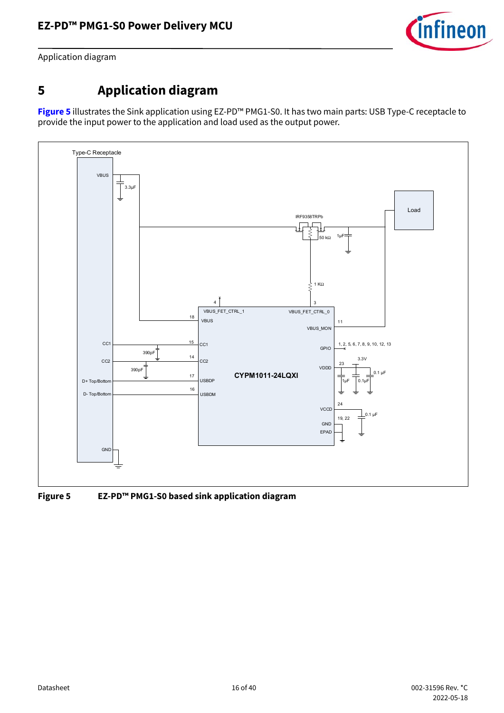

Application diagram

## <span id="page-15-0"></span>**5 Application diagram**

**[Figure 5](#page-15-1)** illustrates the Sink application using EZ-PD™ PMG1-S0. It has two main parts: USB Type-C receptacle to provide the input power to the application and load used as the output power.



<span id="page-15-1"></span>**Figure 5 EZ-PD™ PMG1-S0 based sink application diagram**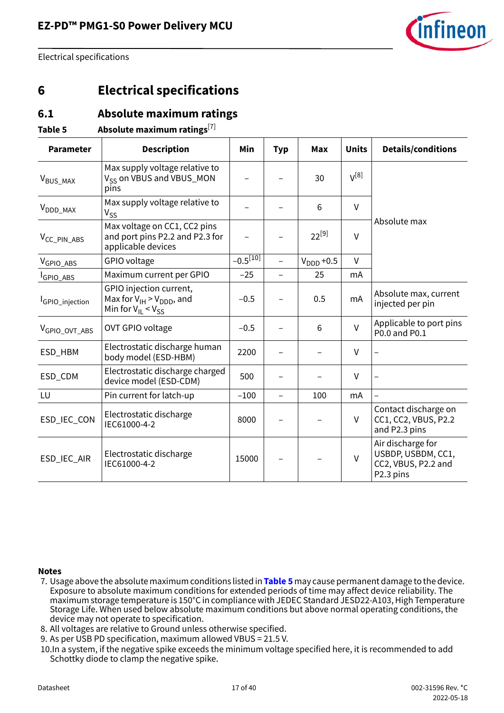

## <span id="page-16-0"></span>**6 Electrical specifications**

## <span id="page-16-1"></span>**6.1 Absolute maximum ratings**

<span id="page-16-6"></span>**Table 5 Absolute maximum ratings**[\[7](#page-16-2)]

| <b>Parameter</b>            | <b>Description</b>                                                                         | Min           | <b>Typ</b>        | <b>Max</b>            | <b>Units</b> | <b>Details/conditions</b>                                                   |
|-----------------------------|--------------------------------------------------------------------------------------------|---------------|-------------------|-----------------------|--------------|-----------------------------------------------------------------------------|
| V <sub>BUS_MAX</sub>        | Max supply voltage relative to<br>V <sub>SS</sub> on VBUS and VBUS_MON<br>pins             |               |                   | 30                    | $V^{[8]}$    |                                                                             |
| V <sub>DDD_MAX</sub>        | Max supply voltage relative to<br>$V_{SS}$                                                 |               |                   | 6                     | V            |                                                                             |
| V <sub>CC_PIN_ABS</sub>     | Max voltage on CC1, CC2 pins<br>and port pins P2.2 and P2.3 for<br>applicable devices      |               |                   | $22^{[9]}$            | $\vee$       | Absolute max                                                                |
| V <sub>GPIO_ABS</sub>       | GPIO voltage                                                                               | $-0.5^{[10]}$ | $\overline{a}$    | $V_{\text{DDD}}$ +0.5 | $\vee$       |                                                                             |
| GPIO_ABS                    | Maximum current per GPIO                                                                   | $-25$         |                   | 25                    | mA           |                                                                             |
| <sup>I</sup> GPIO_injection | GPIO injection current,<br>Max for $V_{IH}$ > $V_{DDD}$ , and<br>Min for $V_{IL} < V_{SS}$ | $-0.5$        | 0.5               |                       | mA           | Absolute max, current<br>injected per pin                                   |
| V <sub>GPIO_OVT_ABS</sub>   | OVT GPIO voltage                                                                           | $-0.5$        |                   | 6                     | $\vee$       | Applicable to port pins<br>P0.0 and P0.1                                    |
| ESD_HBM                     | Electrostatic discharge human<br>body model (ESD-HBM)                                      | 2200          |                   |                       | $\vee$       |                                                                             |
| ESD_CDM                     | Electrostatic discharge charged<br>device model (ESD-CDM)                                  | 500           |                   |                       | $\vee$       |                                                                             |
| LU                          | Pin current for latch-up                                                                   | $-100$        | $\qquad \qquad -$ | 100                   | mA           | $\overline{a}$                                                              |
| ESD_IEC_CON                 | Electrostatic discharge<br>IEC61000-4-2                                                    | 8000          |                   |                       | $\vee$       | Contact discharge on<br>CC1, CC2, VBUS, P2.2<br>and P2.3 pins               |
| ESD_IEC_AIR                 | Electrostatic discharge<br>IEC61000-4-2                                                    | 15000         |                   |                       | $\mathsf{V}$ | Air discharge for<br>USBDP, USBDM, CC1,<br>CC2, VBUS, P2.2 and<br>P2.3 pins |

#### **Notes**

- <span id="page-16-2"></span>7. Usage above the absolute maximum conditions listed in **[Table 5](#page-16-6)** may cause permanent damage to the device. Exposure to absolute maximum conditions for extended periods of time may affect device reliability. The maximum storage temperature is 150°C in compliance with JEDEC Standard JESD22-A103, High Temperature Storage Life. When used below absolute maximum conditions but above normal operating conditions, the device may not operate to specification.
- <span id="page-16-3"></span>8. All voltages are relative to Ground unless otherwise specified.
- <span id="page-16-4"></span>9. As per USB PD specification, maximum allowed VBUS = 21.5 V.
- <span id="page-16-5"></span>10.In a system, if the negative spike exceeds the minimum voltage specified here, it is recommended to add Schottky diode to clamp the negative spike.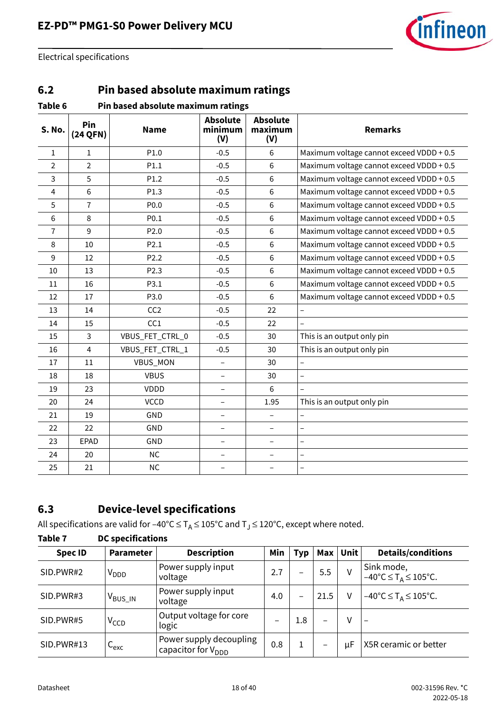

## <span id="page-17-0"></span>**6.2 Pin based absolute maximum ratings**

| Table 6<br>Pin based absolute maximum ratings |                 |                  |                                   |                                   |                                          |  |  |  |  |
|-----------------------------------------------|-----------------|------------------|-----------------------------------|-----------------------------------|------------------------------------------|--|--|--|--|
| S. No.                                        | Pin<br>(24 QFN) | <b>Name</b>      | <b>Absolute</b><br>minimum<br>(V) | <b>Absolute</b><br>maximum<br>(V) | <b>Remarks</b>                           |  |  |  |  |
| 1                                             | 1               | P1.0             | $-0.5$                            | 6                                 | Maximum voltage cannot exceed VDDD + 0.5 |  |  |  |  |
| $\overline{2}$                                | $\overline{2}$  | P1.1             | $-0.5$                            | $\,6$                             | Maximum voltage cannot exceed VDDD + 0.5 |  |  |  |  |
| 3                                             | 5               | P1.2             | $-0.5$                            | 6                                 | Maximum voltage cannot exceed VDDD + 0.5 |  |  |  |  |
| 4                                             | 6               | P1.3             | $-0.5$                            | $\,6$                             | Maximum voltage cannot exceed VDDD + 0.5 |  |  |  |  |
| 5                                             | $\overline{7}$  | P0.0             | $-0.5$                            | 6                                 | Maximum voltage cannot exceed VDDD + 0.5 |  |  |  |  |
| 6                                             | 8               | P0.1             | $-0.5$                            | $\,6$                             | Maximum voltage cannot exceed VDDD + 0.5 |  |  |  |  |
| 7                                             | 9               | P <sub>2.0</sub> | $-0.5$                            | $\,6$                             | Maximum voltage cannot exceed VDDD + 0.5 |  |  |  |  |
| 8                                             | 10              | P2.1             | $-0.5$                            | 6                                 | Maximum voltage cannot exceed VDDD + 0.5 |  |  |  |  |
| 9                                             | 12              | P <sub>2.2</sub> | $-0.5$                            | $\,6$                             | Maximum voltage cannot exceed VDDD + 0.5 |  |  |  |  |
| 10                                            | 13              | P2.3             | $-0.5$                            | $\,6$                             | Maximum voltage cannot exceed VDDD + 0.5 |  |  |  |  |
| 11                                            | 16              | P3.1             | $-0.5$                            | 6                                 | Maximum voltage cannot exceed VDDD + 0.5 |  |  |  |  |
| 12                                            | 17              | P3.0             | $-0.5$                            | $\,6\,$                           | Maximum voltage cannot exceed VDDD + 0.5 |  |  |  |  |
| 13                                            | 14              | CC <sub>2</sub>  | $-0.5$                            | 22                                | $\overline{\phantom{0}}$                 |  |  |  |  |
| 14                                            | 15              | CC <sub>1</sub>  | $-0.5$                            | 22                                |                                          |  |  |  |  |
| 15                                            | 3               | VBUS_FET_CTRL_0  | $-0.5$                            | 30                                | This is an output only pin               |  |  |  |  |
| 16                                            | $\overline{4}$  | VBUS_FET_CTRL_1  | $-0.5$                            | 30                                | This is an output only pin               |  |  |  |  |
| 17                                            | 11              | VBUS_MON         | $\qquad \qquad -$                 | 30                                |                                          |  |  |  |  |
| 18                                            | 18              | <b>VBUS</b>      | $\qquad \qquad -$                 | 30                                | $\overline{\phantom{0}}$                 |  |  |  |  |
| 19                                            | 23              | VDDD             | -                                 | 6                                 |                                          |  |  |  |  |
| 20                                            | 24              | <b>VCCD</b>      | $\overline{\phantom{0}}$          | 1.95                              | This is an output only pin               |  |  |  |  |
| 21                                            | 19              | GND              | $\qquad \qquad -$                 | $\overline{\phantom{0}}$          | -                                        |  |  |  |  |
| 22                                            | 22              | <b>GND</b>       | -                                 | $\overline{\phantom{0}}$          | $\overline{\phantom{0}}$                 |  |  |  |  |
| 23                                            | EPAD            | GND              | $\overline{\phantom{0}}$          | $\qquad \qquad -$                 | $\overline{\phantom{0}}$                 |  |  |  |  |
| 24                                            | 20              | <b>NC</b>        | $\qquad \qquad -$                 | $\qquad \qquad -$                 | -                                        |  |  |  |  |
| 25                                            | 21              | <b>NC</b>        |                                   | $\qquad \qquad -$                 | -                                        |  |  |  |  |

## <span id="page-17-1"></span>**6.3 Device-level specifications**

All specifications are valid for –40°C  $\leq T_A \leq 105$ °C and  $T_J \leq 120$ °C, except where noted.

**Table 7 DC specifications**

| <b>Spec ID</b> | <b>Parameter</b>          | <b>Description</b>                                        | Min | Typ | Max  | <b>Unit</b> | <b>Details/conditions</b>                                         |
|----------------|---------------------------|-----------------------------------------------------------|-----|-----|------|-------------|-------------------------------------------------------------------|
| SID.PWR#2      | V <sub>DDD</sub>          | Power supply input<br>voltage                             | 2.7 |     | 5.5  | V           | Sink mode,<br>$-40^{\circ}$ C $\leq$ T <sub>A</sub> $\leq$ 105°C. |
| SID.PWR#3      | V <sub>BUS_IN</sub>       | Power supply input<br>voltage                             | 4.0 |     | 21.5 | ٧           | $-40^{\circ}$ C $\leq$ T <sub>A</sub> $\leq$ 105°C.               |
| SID.PWR#5      | $\rm v_{CCD}$             | Output voltage for core<br>logic                          | -   | 1.8 | —    | ٧           |                                                                   |
| SID.PWR#13     | $\mathsf{v}_\mathsf{exc}$ | Power supply decoupling<br>capacitor for V <sub>DDD</sub> | 0.8 |     |      | μF          | X5R ceramic or better                                             |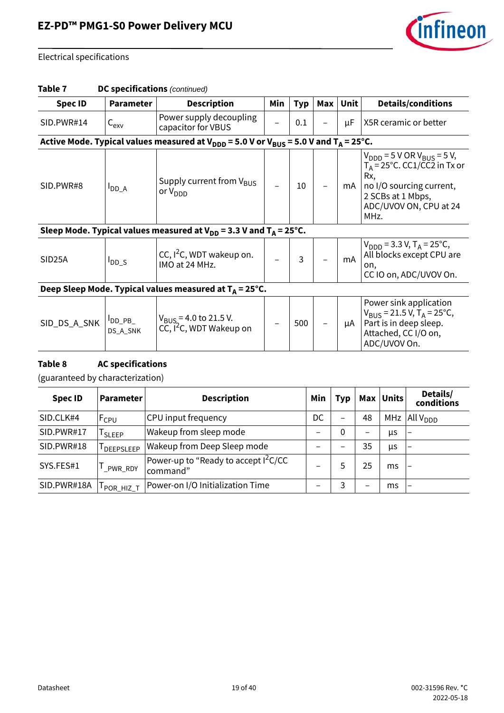

| <b>Spec ID</b>                                                                                                         | <b>Parameter</b>            | <b>Description</b>                                                        | Min | <b>Typ</b>     | Max                      | Unit | <b>Details/conditions</b>                                                                                                                                                          |  |
|------------------------------------------------------------------------------------------------------------------------|-----------------------------|---------------------------------------------------------------------------|-----|----------------|--------------------------|------|------------------------------------------------------------------------------------------------------------------------------------------------------------------------------------|--|
| SID.PWR#14                                                                                                             | $\mathsf{C}_{\mathsf{exv}}$ | Power supply decoupling<br>capacitor for VBUS                             |     | 0.1            | $\overline{\phantom{a}}$ | μF   | X5R ceramic or better                                                                                                                                                              |  |
| Active Mode. Typical values measured at $V_{\text{DDD}} = 5.0$ V or $V_{\text{BUS}} = 5.0$ V and $T_A = 25^{\circ}$ C. |                             |                                                                           |     |                |                          |      |                                                                                                                                                                                    |  |
| SID.PWR#8<br>$I_{DD\_A}$                                                                                               |                             | Supply current from V <sub>BUS</sub><br>or $V_{\text{DDD}}$               |     | 10             |                          |      | $V_{\text{DDD}}$ = 5 V OR V <sub>BUS</sub> = 5 V,<br>$T_A$ = 25°C. CC1/CC2 in Tx or<br>Rx.<br>mA   no I/O sourcing current,<br>2 SCBs at 1 Mbps,<br>ADC/UVOV ON, CPU at 24<br>MHz. |  |
|                                                                                                                        |                             | Sleep Mode. Typical values measured at $V_{DD}$ = 3.3 V and $T_A$ = 25°C. |     |                |                          |      |                                                                                                                                                                                    |  |
| SID <sub>25</sub> A                                                                                                    | $I_{DD_S}$                  | CC, I <sup>2</sup> C, WDT wakeup on.<br>IMO at 24 MHz.                    |     | $\overline{3}$ |                          | mA   | $V_{\text{DDD}} = 3.3 \text{ V}, T_A = 25^{\circ} \text{C},$<br>All blocks except CPU are<br>on.<br>CC IO on, ADC/UVOV On.                                                         |  |
|                                                                                                                        |                             | Deep Sleep Mode. Typical values measured at $T_A = 25^{\circ}C$ .         |     |                |                          |      |                                                                                                                                                                                    |  |
| SID_DS_A_SNK                                                                                                           | $I_{DD_PB_-}$<br>DS A SNK   | $V_{BUS}$ = 4.0 to 21.5 V.<br>CC, I <sup>2</sup> C, WDT Wakeup on         |     | 500            |                          |      | Power sink application<br>$V_{BUS}$ = 21.5 V, T <sub>A</sub> = 25°C,<br>$\mu$ A   Part is in deep sleep.<br>Attached, CC I/O on,<br>ADC/UVOV On.                                   |  |

#### **Table 7 DC specifications** *(continued)*

#### <span id="page-18-0"></span>**Table 8 AC specifications**

| <b>Spec ID</b> | Parameter        | <b>Description</b>                                           | Min                      | <b>Typ</b> |    | Max Units | Details/<br>conditions   |
|----------------|------------------|--------------------------------------------------------------|--------------------------|------------|----|-----------|--------------------------|
| SID.CLK#4      | $F_{CPU}$        | CPU input frequency                                          | DC                       | -          | 48 | MHz       | All V <sub>DDD</sub>     |
| SID.PWR#17     | SLEEP            | Wakeup from sleep mode                                       | $\overline{\phantom{0}}$ | 0          |    | μs        | $\overline{\phantom{0}}$ |
| SID.PWR#18     | <b>DEEPSLEEP</b> | Wakeup from Deep Sleep mode                                  |                          |            | 35 | <b>US</b> |                          |
| SYS.FES#1      | _PWR_RDY         | Power-up to "Ready to accept I <sup>2</sup> C/CC<br>command" | -                        |            | 25 | ms        | $\overline{\phantom{m}}$ |
| SID.PWR#18A    | POR_HIZ_T        | Power-on I/O Initialization Time                             | $\overline{\phantom{0}}$ |            |    | ms        | $\overline{\phantom{0}}$ |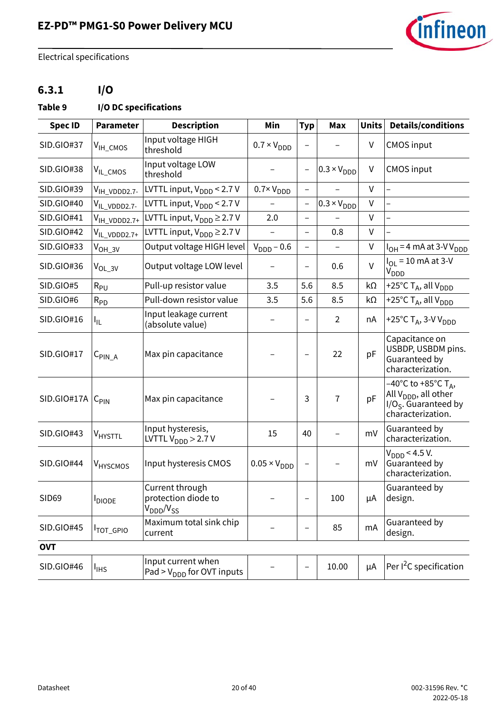## **EZ-PD™ PMG1-S0 Power Delivery MCU**



Electrical specifications

## **6.3.1 I/O**

## **Table 9 I/O DC specifications**

| <b>Spec ID</b>    | <b>Parameter</b>         | <b>Description</b>                                                  | Min                          | <b>Typ</b>               | Max                         | <b>Units</b> | <b>Details/conditions</b>                                                                                                    |
|-------------------|--------------------------|---------------------------------------------------------------------|------------------------------|--------------------------|-----------------------------|--------------|------------------------------------------------------------------------------------------------------------------------------|
| SID.GIO#37        | V <sub>IH_CMOS</sub>     | Input voltage HIGH<br>threshold                                     | $0.7 \times V_{\text{DDD}}$  |                          |                             | V            | <b>CMOS input</b>                                                                                                            |
| SID.GIO#38        | V <sub>IL_CMOS</sub>     | Input voltage LOW<br>threshold                                      |                              | $\qquad \qquad -$        | $0.3 \times V_{\text{DDD}}$ | V            | <b>CMOS input</b>                                                                                                            |
| SID.GIO#39        | V <sub>IH_VDDD2.7-</sub> | LVTTL input, $V_{\text{DDD}}$ < 2.7 V                               | $0.7 \times V_{\text{DDD}}$  | $\qquad \qquad -$        |                             | $\mathsf{V}$ |                                                                                                                              |
| SID.GIO#40        | V <sub>IL_VDDD2.7-</sub> | LVTTL input, $V_{\text{DDD}}$ < 2.7 V                               |                              | $\qquad \qquad -$        | $0.3 \times V_{\text{DDD}}$ | V            |                                                                                                                              |
| SID.GIO#41        | V <sub>IH_VDDD2.7+</sub> | LVTTL input, $V_{\text{DDD}} \geq 2.7 V$                            | 2.0                          | $\overline{\phantom{0}}$ |                             | $\mathsf{V}$ |                                                                                                                              |
| SID.GIO#42        | V <sub>IL_VDDD2.7+</sub> | LVTTL input, $V_{\text{DDD}} \geq 2.7 V$                            | $\overline{\phantom{0}}$     | $\overline{\phantom{0}}$ | 0.8                         | V            |                                                                                                                              |
| SID.GIO#33        | V <sub>OH_3V</sub>       | Output voltage HIGH level                                           | $V_{\text{DDD}} - 0.6$       | $\qquad \qquad -$        |                             | V            | $I_{OH}$ = 4 mA at 3-V V <sub>DDD</sub>                                                                                      |
| SID.GIO#36        | $V_{OL_3V}$              | Output voltage LOW level                                            |                              | $\qquad \qquad -$        | 0.6                         | $\vee$       | $I_{OL}$ = 10 mA at 3-V<br>V <sub>DDD</sub>                                                                                  |
| SID.GIO#5         | $R_{PU}$                 | Pull-up resistor value                                              | 3.5                          | 5.6                      | 8.5                         | kΩ           | +25°C $T_A$ , all $V_{DDD}$                                                                                                  |
| SID.GIO#6         | $R_{PD}$                 | Pull-down resistor value                                            | 3.5                          | 5.6                      | 8.5                         | kΩ           | +25°C $T_A$ , all $V_{DDD}$                                                                                                  |
| SID.GIO#16        | ΠL.                      | Input leakage current<br>(absolute value)                           |                              |                          | $\overline{2}$              | пA           | +25°C T <sub>A</sub> , 3-V V <sub>DDD</sub>                                                                                  |
| <b>SID.GIO#17</b> | $C_{\text{PIN\_A}}$      | Max pin capacitance                                                 |                              | $\overline{\phantom{0}}$ | 22                          | pF           | Capacitance on<br>USBDP, USBDM pins.<br>Guaranteed by<br>characterization.                                                   |
| SID.GIO#17A       | $C_{\text{PIN}}$         | Max pin capacitance                                                 |                              | 3                        | $\overline{7}$              | pF           | –40°C to +85°C T <sub>A</sub> ,<br>All $V_{\text{DDD}}$ , all other<br>I/O <sub>S</sub> . Guaranteed by<br>characterization. |
| SID.GIO#43        | V <sub>HYSTTL</sub>      | Input hysteresis,<br>LVTTL $V_{\text{DDD}}$ > 2.7 V                 | 15                           | 40                       |                             | mV           | Guaranteed by<br>characterization.                                                                                           |
| <b>SID.GIO#44</b> | V <sub>HYSCMOS</sub>     | Input hysteresis CMOS                                               | $0.05 \times V_{\text{DDD}}$ | -                        |                             | mV           | $V_{\text{DDD}}$ < 4.5 V.<br>Guaranteed by<br>characterization.                                                              |
| <b>SID69</b>      | <b>I</b> DIODE           | Current through<br>protection diode to<br>$V_{\text{DDD}} / V_{SS}$ |                              |                          | 100                         | μA           | Guaranteed by<br>design.                                                                                                     |
| SID.GIO#45        | TOT_GPIO                 | Maximum total sink chip<br>current                                  |                              | -                        | 85                          | mA           | Guaranteed by<br>design.                                                                                                     |
| <b>OVT</b>        |                          |                                                                     |                              |                          |                             |              |                                                                                                                              |
| SID.GIO#46        | $I_{IHS}$                | Input current when<br>Pad > $V_{\text{DDD}}$ for OVT inputs         |                              | $\qquad \qquad -$        | 10.00                       | μA           | Per I <sup>2</sup> C specification                                                                                           |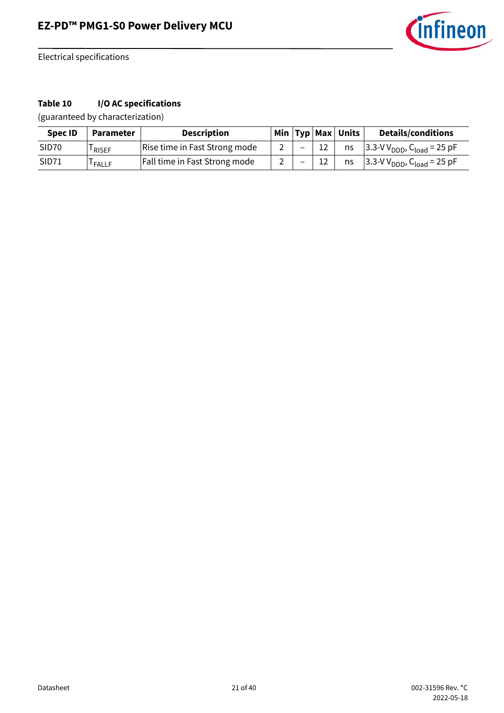

## **Table 10 I/O AC specifications**

| Spec <sub>ID</sub> | Parameter          | <b>Description</b>            |                               |                          | Min $Typ$ Max Units | <b>Details/conditions</b>                            |
|--------------------|--------------------|-------------------------------|-------------------------------|--------------------------|---------------------|------------------------------------------------------|
| SID <sub>70</sub>  | <sup>I</sup> RISEF | Rise time in Fast Strong mode | $\overline{\phantom{0}}$      | -                        | ns                  | $3.3-VV_{DDD}$ , C <sub>load</sub> = 25 pF           |
| SID71              | <sup>I</sup> FALLF | Fall time in Fast Strong mode | $\overline{\phantom{0}}$<br>∸ | $\overline{\phantom{0}}$ | ns                  | $3.3-V$ V <sub>DDD</sub> , C <sub>load</sub> = 25 pF |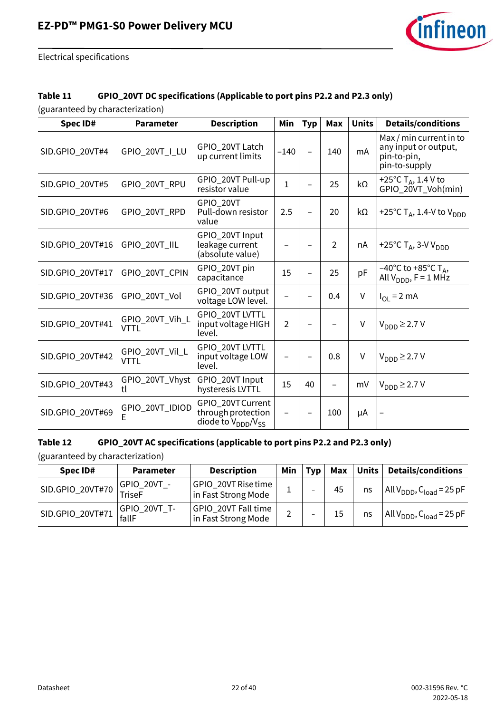

#### <span id="page-21-0"></span>**Table 11 GPIO\_20VT DC specifications (Applicable to port pins P2.2 and P2.3 only)**

(guaranteed by characterization)

| Spec ID#         | <b>Parameter</b>               | <b>Description</b>                                                                | Min            | <b>Typ</b> | Max            | <b>Units</b> | <b>Details/conditions</b>                                                       |
|------------------|--------------------------------|-----------------------------------------------------------------------------------|----------------|------------|----------------|--------------|---------------------------------------------------------------------------------|
| SID.GPIO_20VT#4  | GPIO_20VT_I_LU                 | GPIO_20VT Latch<br>up current limits                                              | $-140$         |            | 140            | mA           | Max / min current in to<br>any input or output,<br>pin-to-pin,<br>pin-to-supply |
| SID.GPIO_20VT#5  | GPIO_20VT_RPU                  | GPIO_20VT Pull-up<br>resistor value                                               | $\mathbf{1}$   |            | 25             | kΩ           | +25°C T <sub>A</sub> , 1.4 V to<br>GPIO_20VT_Voh(min)                           |
| SID.GPIO_20VT#6  | GPIO_20VT_RPD                  | GPIO_20VT<br>Pull-down resistor<br>value                                          | 2.5            |            | 20             | kΩ           | +25°C T <sub>A</sub> , 1.4-V to V <sub>DDD</sub>                                |
| SID.GPIO_20VT#16 | GPIO_20VT_IIL                  | GPIO_20VT Input<br>leakage current<br>(absolute value)                            |                |            | $\overline{2}$ | nA           | +25°C T <sub>A</sub> , 3-V V <sub>DDD</sub>                                     |
| SID.GPIO_20VT#17 | GPIO_20VT_CPIN                 | GPIO_20VT pin<br>capacitance                                                      | 15             |            | 25             | pF           | -40°C to +85°C T <sub>A</sub> ,<br>All $V_{\text{DDD}}$ , F = 1 MHz             |
| SID.GPIO_20VT#36 | GPIO_20VT_Vol                  | GPIO_20VT output<br>voltage LOW level.                                            |                |            | 0.4            | V            | $I_{\Omega}$ = 2 mA                                                             |
| SID.GPIO_20VT#41 | GPIO_20VT_Vih_L<br><b>VTTL</b> | GPIO_20VT LVTTL<br>input voltage HIGH<br>level.                                   | $\overline{2}$ |            |                | $\vee$       | $V_{\text{DDD}} \geq 2.7 V$                                                     |
| SID.GPIO_20VT#42 | GPIO_20VT_Vil_L<br><b>VTTL</b> | GPIO_20VT LVTTL<br>input voltage LOW<br>level.                                    |                |            | 0.8            | $\mathsf{V}$ | $V_{\text{DDD}} \geq 2.7 V$                                                     |
| SID.GPIO_20VT#43 | GPIO_20VT_Vhyst<br>tl          | GPIO_20VT Input<br>hysteresis LVTTL                                               | 15             | 40         |                | mV           | $V_{DDD} \geq 2.7 V$                                                            |
| SID.GPIO_20VT#69 | GPIO_20VT_IDIOD<br>E           | GPIO_20VTCurrent<br>through protection<br>diode to $V_{\text{DDD}}/V_{\text{SS}}$ |                |            | 100            | μA           |                                                                                 |

#### <span id="page-21-1"></span>**Table 12 GPIO\_20VT AC specifications (applicable to port pins P2.2 and P2.3 only)**

| Spec ID#                           | <b>Parameter</b>       | <b>Description</b>                           | Min | <b>Typ</b> |    |    | Max   Units   Details/conditions                         |
|------------------------------------|------------------------|----------------------------------------------|-----|------------|----|----|----------------------------------------------------------|
| $SID.GPIO_20VT#70$ $GPIO_20VT_1 -$ |                        | GPIO_20VT Rise time  <br>in Fast Strong Mode |     |            | 45 | ns | $\vert$ All V <sub>DDD</sub> , C <sub>load</sub> = 25 pF |
| $SID.GPIO_20VT#71$                 | GPIO_20VT_T-<br> fallF | GPIO_20VT Fall time<br>in Fast Strong Mode   |     |            | 15 | ns | $\vert$ All V <sub>DDD</sub> , C <sub>load</sub> = 25 pF |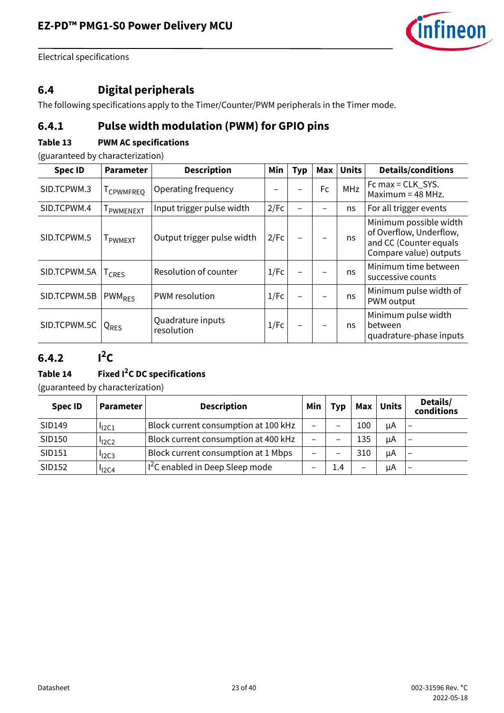

## <span id="page-22-0"></span>**6.4 Digital peripherals**

The following specifications apply to the Timer/Counter/PWM peripherals in the Timer mode.

## **6.4.1 Pulse width modulation (PWM) for GPIO pins**

### **Table 13 PWM AC specifications**

(guaranteed by characterization)

| <b>Spec ID</b> | <b>Parameter</b>      | <b>Description</b>              | Min  | <b>Typ</b>               | Max | <b>Units</b> | <b>Details/conditions</b>                                                                             |
|----------------|-----------------------|---------------------------------|------|--------------------------|-----|--------------|-------------------------------------------------------------------------------------------------------|
| SID.TCPWM.3    | <sup>I</sup> CPWMFREQ | Operating frequency             |      |                          | Fc  | <b>MHz</b>   | Fc max = CLK_SYS.<br>Maximum = $48$ MHz.                                                              |
| SID.TCPWM.4    | <b>I</b> PWMENEXT     | Input trigger pulse width       | 2/Fc | $\overline{\phantom{0}}$ |     | ns           | For all trigger events                                                                                |
| SID.TCPWM.5    | <b>I</b> PWMEXT       | Output trigger pulse width      | 2/Fc |                          |     | ns           | Minimum possible width<br>of Overflow, Underflow,<br>and CC (Counter equals<br>Compare value) outputs |
| SID.TCPWM.5A   | $T_{CRES}$            | Resolution of counter           | 1/Fc | $\overline{\phantom{0}}$ |     | ns           | Minimum time between<br>successive counts                                                             |
| SID.TCPWM.5B   | PWM <sub>RES</sub>    | PWM resolution                  | 1/Fc |                          |     | ns           | Minimum pulse width of<br>PWM output                                                                  |
| SID.TCPWM.5C   | $Q_{RES}$             | Quadrature inputs<br>resolution | 1/Fc | $\overline{\phantom{0}}$ |     | ns           | Minimum pulse width<br>between<br>quadrature-phase inputs                                             |

## **6.4.2**  $I^2C$

### **Table 14 Fixed I2C DC specifications**

| <b>Spec ID</b> | <b>Parameter</b>    | <b>Description</b>                          | Min                      | <b>Typ</b> | <b>Max</b> | <b>Units</b> | Details/<br>conditions   |
|----------------|---------------------|---------------------------------------------|--------------------------|------------|------------|--------------|--------------------------|
| SID149         | 12C1                | Block current consumption at 100 kHz        | -                        | -          | 100        | uA           |                          |
| SID150         | <sup>1</sup> 2C2    | Block current consumption at 400 kHz        | $\overline{\phantom{0}}$ | -          | 135        | uA           |                          |
| SID151         | $I$ <sub>12C3</sub> | Block current consumption at 1 Mbps         | $\overline{\phantom{0}}$ | -          | 310        | uA           |                          |
| SID152         | '12C4               | I <sup>2</sup> C enabled in Deep Sleep mode | -                        | 1.4        |            | μA           | $\overline{\phantom{0}}$ |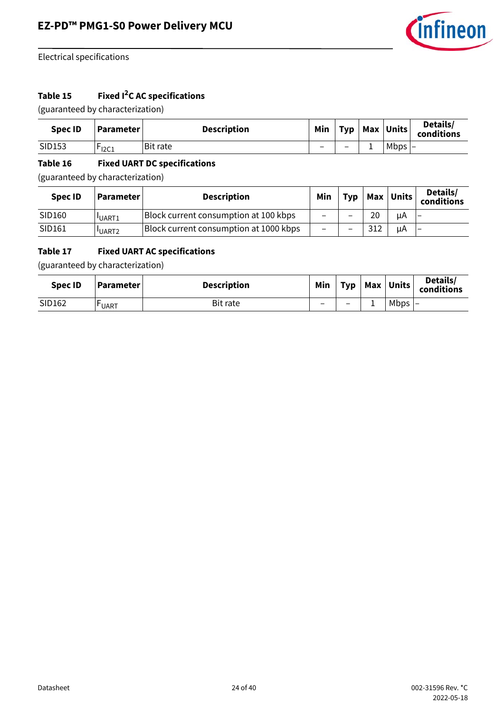

## **Table 15 Fixed I2C AC specifications**

(guaranteed by characterization)

| <b>Spec ID</b> | <b>Parameter</b> | <b>Description</b> | Min                      | <b>Typ</b> |          | Max Units | Details/<br>conditions |
|----------------|------------------|--------------------|--------------------------|------------|----------|-----------|------------------------|
| SID153         | -<br>12C1        | <b>Bit rate</b>    | $\overline{\phantom{0}}$ |            | <u>.</u> | $Mbps$ –  |                        |

### **Table 16 Fixed UART DC specifications**

(guaranteed by characterization)

| <b>Spec ID</b> | <b>Parameter</b>  | <b>Description</b>                     | Min                      | <b>Typ</b> |     | Max Units | Details/<br>conditions |
|----------------|-------------------|----------------------------------------|--------------------------|------------|-----|-----------|------------------------|
| SID160         | <b>UART1</b>      | Block current consumption at 100 kbps  |                          | -          | 20  | uA        |                        |
| SID161         | UART <sub>2</sub> | Block current consumption at 1000 kbps | $\overline{\phantom{0}}$ | -          | 312 | μA        |                        |

#### **Table 17 Fixed UART AC specifications**

| <b>Spec ID</b> | <b>Parameter</b> | <b>Description</b> | Min                      | <b>Typ</b>               | Max | <b>Units</b> | Details/<br>conditions   |
|----------------|------------------|--------------------|--------------------------|--------------------------|-----|--------------|--------------------------|
| SID162         | -<br><b>UART</b> | <b>Bit rate</b>    | $\overline{\phantom{0}}$ | $\overline{\phantom{0}}$ |     | Mbps         | $\overline{\phantom{a}}$ |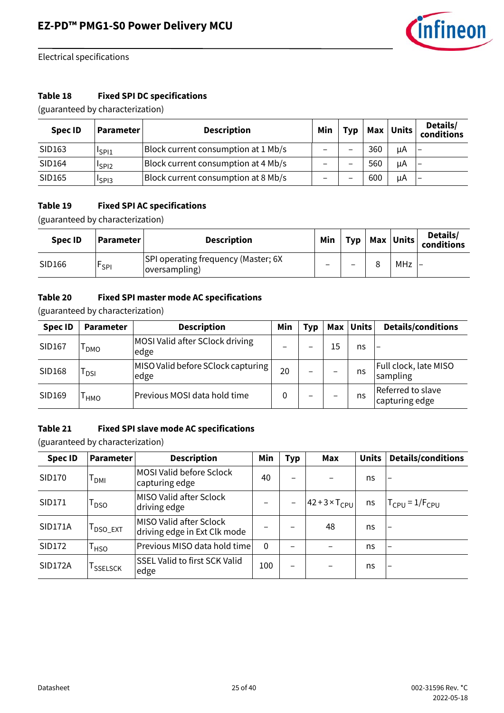

#### **Table 18 Fixed SPI DC specifications**

(guaranteed by characterization)

| <b>Spec ID</b> | Parameter                     | <b>Description</b>                  | Min | <b>Typ</b> | Max | <b>Units</b> | Details/<br>conditions |
|----------------|-------------------------------|-------------------------------------|-----|------------|-----|--------------|------------------------|
| SID163         | I <sub>SP11</sub>             | Block current consumption at 1 Mb/s |     | -          | 360 | μA           |                        |
| SID164         | <sup>I</sup> SPI <sub>2</sub> | Block current consumption at 4 Mb/s |     |            | 560 | μA           |                        |
| SID165         | <sup>I</sup> SPI3             | Block current consumption at 8 Mb/s |     | -          | 600 | μA           |                        |

#### **Table 19 Fixed SPI AC specifications**

(guaranteed by characterization)

| Spec ID | <b>Parameter</b> | <b>Description</b>                                   | Min | Typ | Max Units | Details/<br>conditions |
|---------|------------------|------------------------------------------------------|-----|-----|-----------|------------------------|
| SID166  | ์ SPI            | SPI operating frequency (Master; 6X<br>oversampling) | -   | -   | MHz       |                        |

#### **Table 20 Fixed SPI master mode AC specifications**

(guaranteed by characterization)

| <b>Spec ID</b> | <b>Parameter</b> | <b>Description</b>                         | Min | Typ | Max | <b>Units</b> | <b>Details/conditions</b>           |
|----------------|------------------|--------------------------------------------|-----|-----|-----|--------------|-------------------------------------|
| SID167         | I DMO            | MOSI Valid after SClock driving<br>edge    |     | -   | 15  | ns           | $\qquad \qquad$                     |
| SID168         | l dsi            | MISO Valid before SClock capturing<br>edge | 20  | -   |     | ns           | Full clock, late MISO<br>sampling   |
| SID169         | ' нмо            | Previous MOSI data hold time               |     | -   |     | ns           | Referred to slave<br>capturing edge |

#### **Table 21 Fixed SPI slave mode AC specifications**

| <b>Spec ID</b> | <b>Parameter</b> | <b>Description</b>                                      | Min      | <b>Typ</b>               | Max                        | <b>Units</b> | <b>Details/conditions</b>           |
|----------------|------------------|---------------------------------------------------------|----------|--------------------------|----------------------------|--------------|-------------------------------------|
| SID170         | Т <sub>рмі</sub> | <b>MOSI Valid before Sclock</b><br>capturing edge       | 40       | $\overline{\phantom{0}}$ |                            | ns           | $\overline{\phantom{0}}$            |
| SID171         | $T_{DSO}$        | MISO Valid after Sclock<br>driving edge                 |          | $\overline{\phantom{0}}$ | $ 42+3\times T_{\rm CPU} $ | ns           | $T_{\text{CPU}} = 1/F_{\text{CPU}}$ |
| <b>SID171A</b> | <b>I</b> DSO_EXT | MISO Valid after Sclock<br>driving edge in Ext Clk mode |          |                          | 48                         | ns           | $\overline{\phantom{0}}$            |
| SID172         | T <sub>HSO</sub> | Previous MISO data hold time                            | $\Omega$ |                          |                            | ns           | —                                   |
| <b>SID172A</b> | <b>I</b> SSELSCK | <b>SSEL Valid to first SCK Valid</b><br>edge            | 100      | $\qquad \qquad$          |                            | ns           | $\overline{\phantom{0}}$            |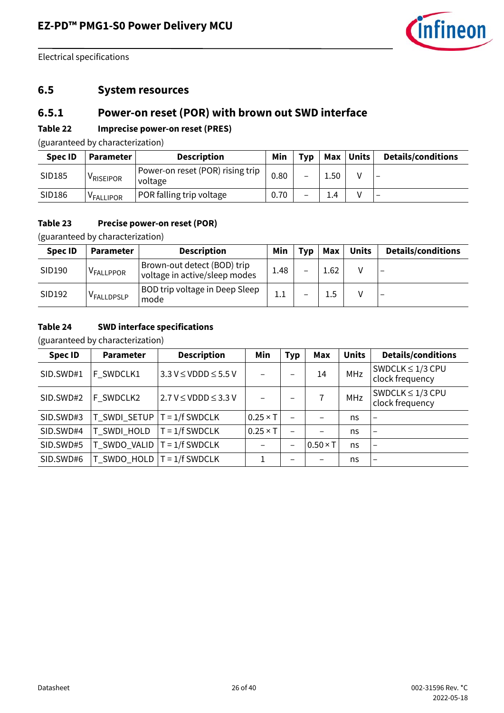

### <span id="page-25-0"></span>**6.5 System resources**

## **6.5.1 Power-on reset (POR) with brown out SWD interface**

#### **Table 22 Imprecise power-on reset (PRES)**

(guaranteed by characterization)

| <b>Spec ID</b> | <b>Parameter</b>      | <b>Description</b>                          | Min  | <b>Tvp</b>               |      | Max Units | <b>Details/conditions</b> |
|----------------|-----------------------|---------------------------------------------|------|--------------------------|------|-----------|---------------------------|
| SID185         | <sup>V</sup> RISEIPOR | Power-on reset (POR) rising trip<br>voltage | 0.80 | $\overline{\phantom{0}}$ | 1.50 |           |                           |
| SID186         | <sup>V</sup> FALLIPOR | <b>POR falling trip voltage</b>             | 0.70 |                          | 1.4  |           |                           |

#### **Table 23 Precise power-on reset (POR)**

(guaranteed by characterization)

| <b>Spec ID</b> | <b>Parameter</b> | <b>Description</b>                                           | Min     | <b>Typ</b>               | Max  | Units | <b>Details/conditions</b> |
|----------------|------------------|--------------------------------------------------------------|---------|--------------------------|------|-------|---------------------------|
| SID190         | <b>VFALLPPOR</b> | Brown-out detect (BOD) trip<br>voltage in active/sleep modes | 1.48    |                          | 1.62 |       | -                         |
| SID192         | VFALLDPSLP       | BOD trip voltage in Deep Sleep<br>mode                       | $1.1\,$ | $\overline{\phantom{0}}$ | 1.5  |       | $\overline{\phantom{m}}$  |

#### **Table 24 SWD interface specifications**

| <b>Spec ID</b> | <b>Parameter</b> | <b>Description</b>               | Min             | <b>Typ</b>               | Max             | <b>Units</b> | <b>Details/conditions</b>                |
|----------------|------------------|----------------------------------|-----------------|--------------------------|-----------------|--------------|------------------------------------------|
| SID.SWD#1      | F_SWDCLK1        | $3.3$ V $\leq$ VDDD $\leq$ 5.5 V |                 |                          | 14              | <b>MHz</b>   | SWDCLK $\leq 1/3$ CPU<br>clock frequency |
| SID.SWD#2      | F_SWDCLK2        | $2.7 V \le VDDD \le 3.3 V$       |                 |                          |                 | <b>MHz</b>   | SWDCLK $\leq$ 1/3 CPU<br>clock frequency |
| SID.SWD#3      | T_SWDI_SETUP     | $T = 1/f$ SWDCLK                 | $0.25 \times T$ | —                        |                 | ns           | $\qquad \qquad$                          |
| SID.SWD#4      | T_SWDI_HOLD      | $T = 1/f$ SWDCLK                 | $0.25 \times T$ | $\overline{\phantom{0}}$ |                 | ns           | $\overline{\phantom{0}}$                 |
| SID.SWD#5      | T_SWDO_VALID     | $T = 1/f$ SWDCLK                 |                 | -                        | $0.50 \times T$ | ns           | $\overbrace{\phantom{123221111}}$        |
| SID.SWD#6      |                  | $SWDO_HOLD   T = 1/f SWDCLK$     |                 | -                        |                 | ns           | $\qquad \qquad$                          |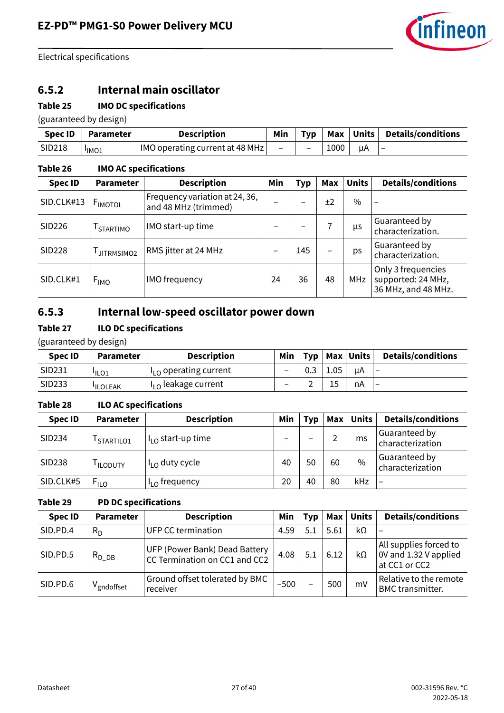

## **6.5.2 Internal main oscillator**

#### **Table 25 IMO DC specifications**

(guaranteed by design)

| Spec ID | Parameter         | <b>Description</b>              | Min                      | Tvp                      |      |    | Max   Units   Details/conditions |
|---------|-------------------|---------------------------------|--------------------------|--------------------------|------|----|----------------------------------|
| SID218  | <sup>I</sup> IMO1 | IMO operating current at 48 MHz | $\overline{\phantom{0}}$ | $\overline{\phantom{0}}$ | 1000 | uA | $\overline{\phantom{a}}$         |

#### **Table 26 IMO AC specifications**

| <b>Spec ID</b> | <b>Parameter</b> | <b>Description</b>                                     | Min | <b>Typ</b> | Max | <b>Units</b> | <b>Details/conditions</b>                                       |
|----------------|------------------|--------------------------------------------------------|-----|------------|-----|--------------|-----------------------------------------------------------------|
| SID.CLK#13     | I FIMOTOL        | Frequency variation at 24, 36,<br>and 48 MHz (trimmed) |     |            | ±2  | $\%$         | $\overline{\phantom{0}}$                                        |
| SID226         | <b>STARTIMO</b>  | IMO start-up time                                      |     |            |     | μs           | Guaranteed by<br>characterization.                              |
| SID228         | JITRMSIMO2       | RMS jitter at 24 MHz                                   | -   | 145        |     | ps           | Guaranteed by<br>characterization.                              |
| SID.CLK#1      | $F_{IMO}$        | <b>IMO</b> frequency                                   | 24  | 36         | 48  | MHz          | Only 3 frequencies<br>supported: 24 MHz,<br>36 MHz, and 48 MHz. |

## **6.5.3 Internal low-speed oscillator power down**

#### **Table 27 ILO DC specifications**

(guaranteed by design)

| Spec ID | <b>Parameter</b>              | <b>Description</b>                    | Min                      |     |      | Typ   Max   Units | <b>Details/conditions</b> |
|---------|-------------------------------|---------------------------------------|--------------------------|-----|------|-------------------|---------------------------|
| SID231  | <sup>I</sup> ILO <sub>1</sub> | $\ I_{\text{LO}}\ $ operating current | $\overline{\phantom{m}}$ | 0.3 | 1.05 | uA                | $\overline{\phantom{0}}$  |
| SID233  | <b>ILOLEAK</b>                | ارا leakage current                   | $\overline{\phantom{0}}$ | -   |      | nA                |                           |

#### **Table 28 ILO AC specifications**

| <b>Spec ID</b>     | <b>Parameter</b>     | <b>Description</b>         | Min | Tvp | Max | <b>Units</b> | <b>Details/conditions</b>         |
|--------------------|----------------------|----------------------------|-----|-----|-----|--------------|-----------------------------------|
| SID234             | STARTILO1            | $I_{10}$ start-up time     | -   | -   |     | ms           | Guaranteed by<br>characterization |
| SID <sub>238</sub> | <sup>I</sup> ILODUTY | $I_{10}$ duty cycle        | 40  | 50  | 60  | $\%$         | Guaranteed by<br>characterization |
| SID.CLK#5          | $F_{ILO}$            | I <sub>I O</sub> frequency | 20  | 40  | 80  | kHz          | $\overline{\phantom{m}}$          |

#### **Table 29 PD DC specifications**

| <b>Spec ID</b> | <b>Parameter</b>       | <b>Description</b>                                             | Min    | Typ                      | <b>Max</b> | <b>Units</b> | <b>Details/conditions</b>                                        |
|----------------|------------------------|----------------------------------------------------------------|--------|--------------------------|------------|--------------|------------------------------------------------------------------|
| SID.PD.4       | $R_D$                  | UFP CC termination                                             | 4.59   | 5.1                      | 5.61       | kΩ           |                                                                  |
| SID.PD.5       | $R_{DDB}$              | UFP (Power Bank) Dead Battery<br>CC Termination on CC1 and CC2 | 4.08   | 5.1                      | 6.12       | kΩ           | All supplies forced to<br>0V and 1.32 V applied<br>at CC1 or CC2 |
| SID.PD.6       | V <sub>gndoffset</sub> | Ground offset tolerated by BMC<br>receiver                     | $-500$ | $\overline{\phantom{0}}$ | 500        | mV           | Relative to the remote<br><b>BMC</b> transmitter.                |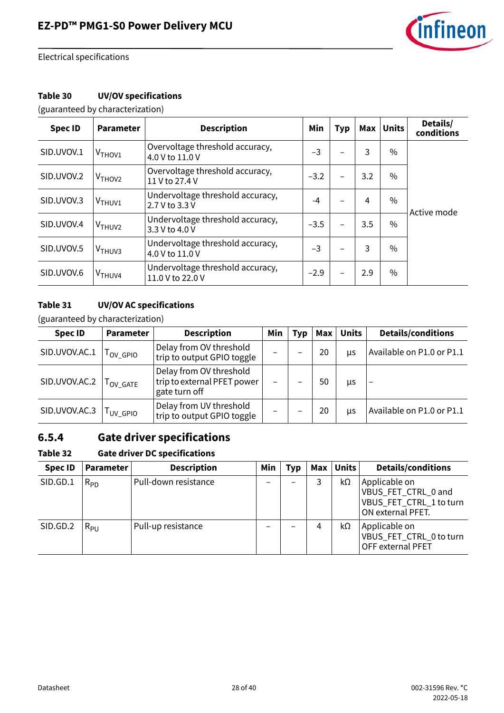

#### **Table 30 UV/OV specifications**

(guaranteed by characterization)

| <b>Spec ID</b> | <b>Parameter</b>   | <b>Description</b>                                   | Min    | <b>Typ</b> | Max | <b>Units</b>  | Details/<br>conditions |
|----------------|--------------------|------------------------------------------------------|--------|------------|-----|---------------|------------------------|
| SID.UVOV.1     | V <sub>THOV1</sub> | Overvoltage threshold accuracy,<br>4.0 V to 11.0 V   | $-3$   |            | 3   | $\frac{0}{0}$ |                        |
| SID.UVOV.2     | V <sub>THOV2</sub> | Overvoltage threshold accuracy,<br>11 V to 27.4 V    | $-3.2$ |            | 3.2 | $\frac{0}{0}$ |                        |
| SID.UVOV.3     | $V$ THUV1          | Undervoltage threshold accuracy,<br>2.7 V to 3.3 V   | $-4$   |            | 4   | $\frac{0}{0}$ | Active mode            |
| SID.UVOV.4     | V <sub>THUV2</sub> | Undervoltage threshold accuracy,<br>3.3 V to 4.0 V   | $-3.5$ |            | 3.5 | $\%$          |                        |
| SID.UVOV.5     | V <sub>THUV3</sub> | Undervoltage threshold accuracy,<br>4.0 V to 11.0 V  | $-3$   |            | 3   | $\frac{0}{0}$ |                        |
| SID.UVOV.6     | V <sub>THUV4</sub> | Undervoltage threshold accuracy,<br>11.0 V to 22.0 V | $-2.9$ |            | 2.9 | $\%$          |                        |

#### **Table 31 UV/OV AC specifications**

(guaranteed by characterization)

| <b>Spec ID</b> | <b>Parameter</b> | <b>Description</b>                                                      | Min | Typ | Max | <b>Units</b> | <b>Details/conditions</b> |
|----------------|------------------|-------------------------------------------------------------------------|-----|-----|-----|--------------|---------------------------|
| SID.UVOV.AC.1  | lov GPIO         | Delay from OV threshold<br>trip to output GPIO toggle                   |     |     | 20  | us           | Available on P1.0 or P1.1 |
| SID.UVOV.AC.2  | OV GATE          | Delay from OV threshold<br>trip to external PFET power<br>gate turn off |     |     | 50  | μs           | $\overline{\phantom{0}}$  |
| SID.UVOV.AC.3  | <b>LUV GPIO</b>  | Delay from UV threshold<br>trip to output GPIO toggle                   |     |     | 20  | <b>US</b>    | Available on P1.0 or P1.1 |

## **6.5.4 Gate driver specifications**

### **Table 32 Gate driver DC specifications**

| <b>Spec ID</b> | <b>Parameter</b> | <b>Description</b>   | Min | <b>Typ</b> | Max | <b>Units</b> | <b>Details/conditions</b>                                                            |
|----------------|------------------|----------------------|-----|------------|-----|--------------|--------------------------------------------------------------------------------------|
| SID.GD.1       | $R_{PD}$         | Pull-down resistance |     |            |     | kΩ           | Applicable on<br>VBUS_FET_CTRL_0 and<br>VBUS_FET_CTRL_1 to turn<br>ON external PFET. |
| SID.GD.2       | $R_{PU}$         | Pull-up resistance   |     |            | 4   | kΩ           | Applicable on<br>VBUS_FET_CTRL_0 to turn<br>OFF external PFET                        |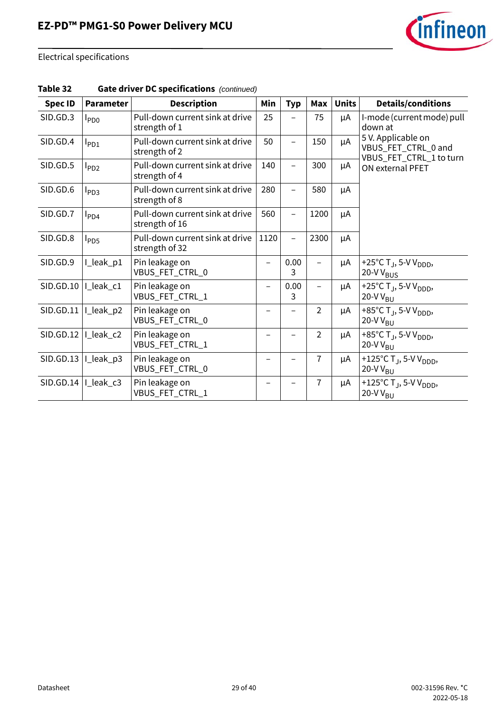

| <b>Spec ID</b>         | <b>Parameter</b> | <b>Description</b>                                | Min  | <b>Typ</b>               | Max            | <b>Units</b> | <b>Details/conditions</b>                                              |
|------------------------|------------------|---------------------------------------------------|------|--------------------------|----------------|--------------|------------------------------------------------------------------------|
| SID.GD.3               | $P_{PDO}$        | Pull-down current sink at drive<br>strength of 1  | 25   |                          | 75             | μA           | I-mode (current mode) pull<br>down at                                  |
| SID.GD.4               | $I_{PD1}$        | Pull-down current sink at drive<br>strength of 2  | 50   | $\overline{\phantom{0}}$ | 150            | μA           | 5 V. Applicable on<br>VBUS_FET_CTRL_0 and<br>VBUS_FET_CTRL_1 to turn   |
| SID.GD.5               | $I_{PD2}$        | Pull-down current sink at drive<br>strength of 4  | 140  |                          | 300            | μA           | ON external PFET                                                       |
| SID.GD.6               | $I_{PD3}$        | Pull-down current sink at drive<br>strength of 8  | 280  | $\overline{\phantom{0}}$ | 580            | μA           |                                                                        |
| SID.GD.7               | $I_{PD4}$        | Pull-down current sink at drive<br>strength of 16 | 560  | $\overline{a}$           | 1200           | μA           |                                                                        |
| SID.GD.8               | l <sub>PD5</sub> | Pull-down current sink at drive<br>strength of 32 | 1120 |                          | 2300           | μA           |                                                                        |
| SID.GD.9               | I_leak_p1        | Pin leakage on<br>VBUS_FET_CTRL_0                 | -    | 0.00<br>3                |                | μA           | +25°C $T_J$ , 5-V V <sub>DDD</sub> ,<br>20-V V <sub>BUS</sub>          |
| SID.GD.10   Lleak_c1   |                  | Pin leakage on<br>VBUS_FET_CTRL_1                 | -    | 0.00<br>3                |                | μA           | +25°C T <sub>J</sub> , 5-V V <sub>DDD</sub> ,<br>20-V V <sub>BU</sub>  |
| SID.GD.11   I_leak_p2  |                  | Pin leakage on<br>VBUS_FET_CTRL_0                 | -    |                          | $\overline{2}$ | μA           | +85°C T <sub>J</sub> , 5-V V <sub>DDD</sub> ,<br>20-V V <sub>BU</sub>  |
| $SID.GD.12   Lleak_c2$ |                  | Pin leakage on<br>VBUS_FET_CTRL_1                 | -    | -                        | $\overline{2}$ | μA           | +85°C T <sub>J</sub> , 5-V V <sub>DDD</sub> ,<br>$20-VV_{BU}$          |
| $SID.GD.13   Lleak_p3$ |                  | Pin leakage on<br>VBUS_FET_CTRL_0                 |      |                          | 7              | μA           | +125°C T <sub>J</sub> , 5-V V <sub>DDD</sub> ,<br>20-V V <sub>BU</sub> |
| $SID.GD.14   Lleak_c3$ |                  | Pin leakage on<br>VBUS_FET_CTRL_1                 |      |                          | 7              | μA           | +125°C T <sub>J</sub> , 5-V V <sub>DDD</sub> ,<br>$20-VV_{BU}$         |

**Table 32 Gate driver DC specifications** *(continued)*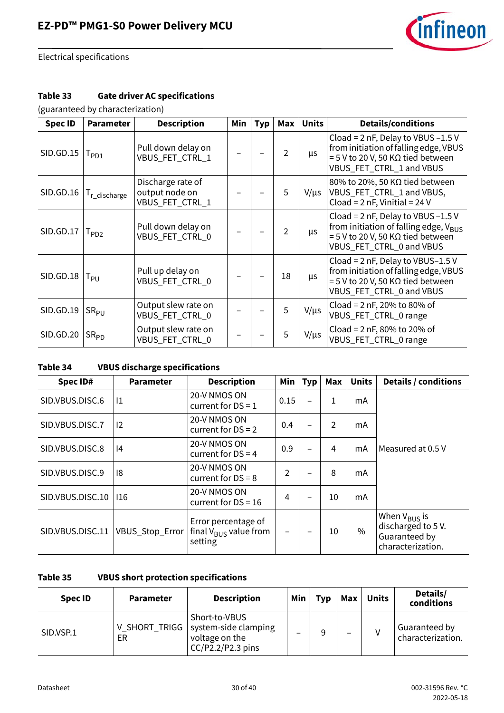

#### **Table 33 Gate driver AC specifications**

(guaranteed by characterization)

| <b>Spec ID</b> | <b>Parameter</b>         | <b>Description</b>                                     | Min | Typ | Max            | <b>Units</b> | <b>Details/conditions</b>                                                                                                                                              |
|----------------|--------------------------|--------------------------------------------------------|-----|-----|----------------|--------------|------------------------------------------------------------------------------------------------------------------------------------------------------------------------|
| SID.GD.15      | $P_{D1}$                 | Pull down delay on<br>VBUS_FET_CTRL_1                  |     |     | $\overline{2}$ | μs           | Cload = $2$ nF, Delay to VBUS $-1.5$ V<br>from initiation of falling edge, VBUS<br>= 5 V to 20 V, 50 K $\Omega$ tied between<br>VBUS_FET_CTRL_1 and VBUS               |
| SID.GD.16      | I <sub>r_discharge</sub> | Discharge rate of<br>output node on<br>VBUS_FET_CTRL_1 |     |     | 5              | $V/\mu s$    | 80% to 20%, 50 K $\Omega$ tied between<br>VBUS_FET_CTRL_1 and VBUS,<br>Cload = $2$ nF, Vinitial = $24$ V                                                               |
| SID.GD.17      | $T_{PD2}$                | Pull down delay on<br>VBUS FET CTRL 0                  |     |     | $\overline{2}$ | μs           | Cload = $2$ nF, Delay to VBUS $-1.5$ V<br>from initiation of falling edge, V <sub>BUS</sub><br>$= 5$ V to 20 V, 50 K $\Omega$ tied between<br>VBUS_FET_CTRL_0 and VBUS |
| SID.GD.18      | $I_{PU}$                 | Pull up delay on<br>VBUS_FET_CTRL_0                    |     |     | 18             | μs           | Cload = $2$ nF, Delay to VBUS-1.5 V<br>from initiation of falling edge, VBUS<br>= 5 V to 20 V, 50 K $\Omega$ tied between<br>VBUS_FET_CTRL_0 and VBUS                  |
| SID.GD.19      | $SR_{PU}$                | Output slew rate on<br>VBUS FET CTRL 0                 |     |     | 5              | $V/\mu s$    | Cload = $2$ nF, 20% to 80% of<br>VBUS_FET_CTRL_0 range                                                                                                                 |
| SID.GD.20      | $SR_{PD}$                | Output slew rate on<br>VBUS FET CTRL 0                 |     |     | 5              | $V/\mu s$    | Cload = $2$ nF, 80% to 20% of<br>VBUS_FET_CTRL_0 range                                                                                                                 |

### **Table 34 VBUS discharge specifications**

| Spec ID#         | <b>Parameter</b> | <b>Description</b>                                           | Min          | Typ | Max           | <b>Units</b> | <b>Details / conditions</b>                                                   |  |
|------------------|------------------|--------------------------------------------------------------|--------------|-----|---------------|--------------|-------------------------------------------------------------------------------|--|
| SID.VBUS.DISC.6  | 1                | 20-V NMOS ON<br>current for $DS = 1$                         | 0.15         |     | 1             | mA           |                                                                               |  |
| SID.VBUS.DISC.7  | 12               | 20-V NMOS ON<br>current for $DS = 2$                         | 0.4          |     | $\mathcal{P}$ | mA           |                                                                               |  |
| SID.VBUS.DISC.8  | 4                | 20-V NMOS ON<br>current for $DS = 4$                         | 0.9          |     | 4             | mA           | Measured at 0.5 V                                                             |  |
| SID.VBUS.DISC.9  | 18               | 20-V NMOS ON<br>current for $DS = 8$                         | 2<br>8<br>mA |     |               |              |                                                                               |  |
| SID.VBUS.DISC.10 | 116              | 20-V NMOS ON<br>current for $DS = 16$                        | 4            |     | 10            | mA           |                                                                               |  |
| SID.VBUS.DISC.11 | VBUS_Stop_Error  | Error percentage of<br>final $V_{BUS}$ value from<br>setting |              |     | 10            | $\%$         | When $V_{BUS}$ is<br>discharged to 5 V.<br>Guaranteed by<br>characterization. |  |

#### **Table 35 VBUS short protection specifications**

| <b>Spec ID</b> | <b>Parameter</b>    | Min<br><b>Description</b>                                                      |   | Typ | Max | <b>Units</b> | Details/<br>conditions             |
|----------------|---------------------|--------------------------------------------------------------------------------|---|-----|-----|--------------|------------------------------------|
| SID.VSP.1      | V_SHORT_TRIGG<br>ER | Short-to-VBUS<br>system-side clamping<br>voltage on the<br>$CC/P2.2/P2.3$ pins | - | a   | -   |              | Guaranteed by<br>characterization. |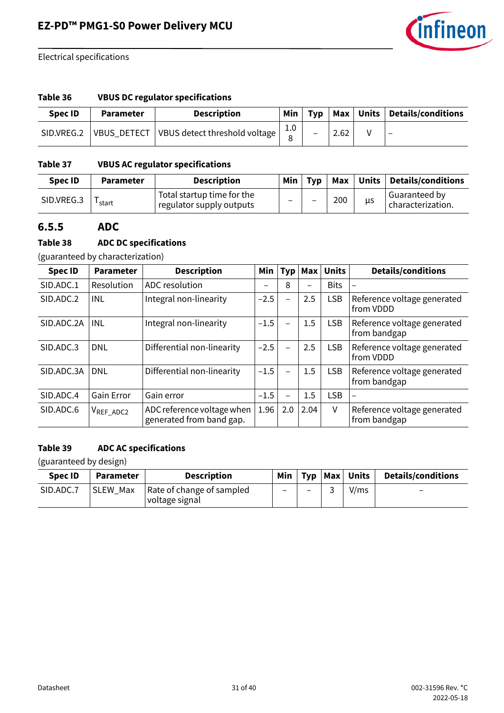

#### **Table 36 VBUS DC regulator specifications**

| <b>Spec ID</b> | <b>Parameter</b> | <b>Description</b>                        | Min             |   |      | $\mathsf{Typ}$   Max   Units   Details/conditions |
|----------------|------------------|-------------------------------------------|-----------------|---|------|---------------------------------------------------|
| SID.VREG.2     |                  | VBUS_DETECT VBUS detect threshold voltage | 1.0<br>$\Omega$ | - | 2.62 | $\overline{\phantom{0}}$                          |

#### **Table 37 VBUS AC regulator specifications**

| <b>Spec ID</b> | <b>Parameter</b> | Min<br><b>Description</b>                              |  | <b>Tvp</b> | Max |    | Units   Details/conditions         |
|----------------|------------------|--------------------------------------------------------|--|------------|-----|----|------------------------------------|
| SID.VREG.3     | start            | Total startup time for the<br>regulator supply outputs |  |            | 200 | μs | Guaranteed by<br>characterization. |

### **6.5.5 ADC**

#### **Table 38 ADC DC specifications**

(guaranteed by characterization)

| <b>Spec ID</b> | <b>Parameter</b>       | <b>Description</b>                                     | Min    | <b>Typ</b>               | <b>Max</b>               | <b>Units</b> | <b>Details/conditions</b>                   |
|----------------|------------------------|--------------------------------------------------------|--------|--------------------------|--------------------------|--------------|---------------------------------------------|
| SID.ADC.1      | Resolution             | ADC resolution                                         |        | 8                        | $\overline{\phantom{0}}$ | <b>Bits</b>  |                                             |
| SID.ADC.2      | INL                    | Integral non-linearity                                 | $-2.5$ | $\overline{\phantom{0}}$ | 2.5                      | <b>LSB</b>   | Reference voltage generated<br>from VDDD    |
| SID.ADC.2A     | INL                    | Integral non-linearity                                 | $-1.5$ |                          | 1.5                      | <b>LSB</b>   | Reference voltage generated<br>from bandgap |
| SID.ADC.3      | <b>DNL</b>             | Differential non-linearity                             | $-2.5$ | $\overline{\phantom{0}}$ | 2.5                      | <b>LSB</b>   | Reference voltage generated<br>from VDDD    |
| SID.ADC.3A     | <b>DNL</b>             | Differential non-linearity                             | $-1.5$ |                          | 1.5                      | LSB          | Reference voltage generated<br>from bandgap |
| SID.ADC.4      | <b>Gain Error</b>      | Gain error                                             | $-1.5$ |                          | 1.5                      | <b>LSB</b>   |                                             |
| SID.ADC.6      | V <sub>REF</sub> _ADC2 | ADC reference voltage when<br>generated from band gap. | 1.96   | 2.0                      | 2.04                     | V            | Reference voltage generated<br>from bandgap |

#### **Table 39 ADC AC specifications**

(guaranteed by design)

| Spec ID   | <b>Parameter</b> | <b>Description</b>                           |                          | Min                      | Typ   Max   Units | <b>Details/conditions</b> |
|-----------|------------------|----------------------------------------------|--------------------------|--------------------------|-------------------|---------------------------|
| SID.ADC.7 | SLEW Max         | Rate of change of sampled<br>∣voltage signal | $\overline{\phantom{0}}$ | $\overline{\phantom{0}}$ | V/ms              | $\overline{\phantom{0}}$  |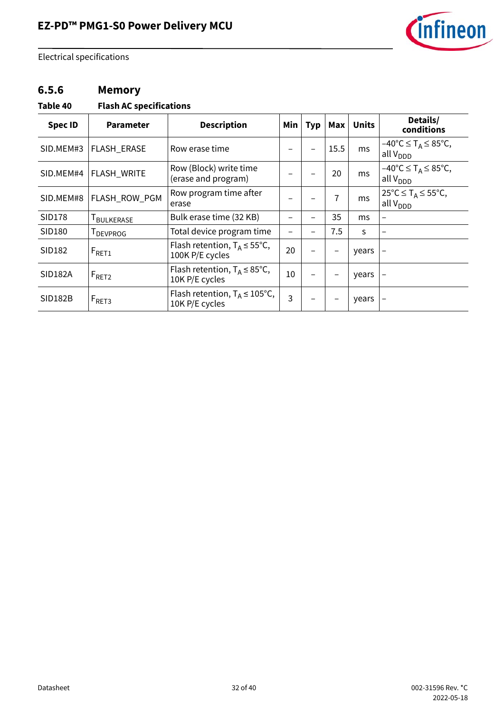

## **6.5.6 Memory**

#### **Table 40 Flash AC specifications**

| <b>Spec ID</b> | <b>Parameter</b> | <b>Description</b>                                          | Min | <b>Typ</b> | Max  | <b>Units</b> | Details/<br>conditions                                                     |
|----------------|------------------|-------------------------------------------------------------|-----|------------|------|--------------|----------------------------------------------------------------------------|
| SID.MEM#3      | FLASH_ERASE      | Row erase time                                              |     |            | 15.5 | ms           | $-40^{\circ}$ C $\leq$ T <sub>A</sub> $\leq$ 85°C,<br>all V <sub>DDD</sub> |
| SID.MEM#4      | FLASH_WRITE      | Row (Block) write time<br>(erase and program)               |     |            | 20   | ms           | $-40^{\circ}$ C $\leq$ T <sub>A</sub> $\leq$ 85°C,<br>all $V_{\text{DDD}}$ |
| SID.MEM#8      | FLASH_ROW_PGM    | Row program time after<br>erase                             |     |            | 7    | ms           | $25^{\circ}$ C $\leq$ T <sub>A</sub> $\leq$ 55°C,<br>all V <sub>DDD</sub>  |
| <b>SID178</b>  | <b>BULKERASE</b> | Bulk erase time (32 KB)                                     |     |            | 35   | ms           | -                                                                          |
| SID180         | DEVPROG          | Total device program time                                   |     |            | 7.5  | S            |                                                                            |
| SID182         | $F_{\sf RET1}$   | Flash retention, $T_A \le 55^{\circ}C$ ,<br>100K P/E cycles | 20  |            |      | years        |                                                                            |
| <b>SID182A</b> | $F_{RET2}$       | Flash retention, $T_A \leq 85^{\circ}C$ ,<br>10K P/E cycles | 10  |            |      | years        | $\qquad \qquad -$                                                          |
| <b>SID182B</b> | $F_{RET3}$       | Flash retention, $T_A \le 105^{\circ}C$ ,<br>10K P/E cycles | 3   |            |      | years        |                                                                            |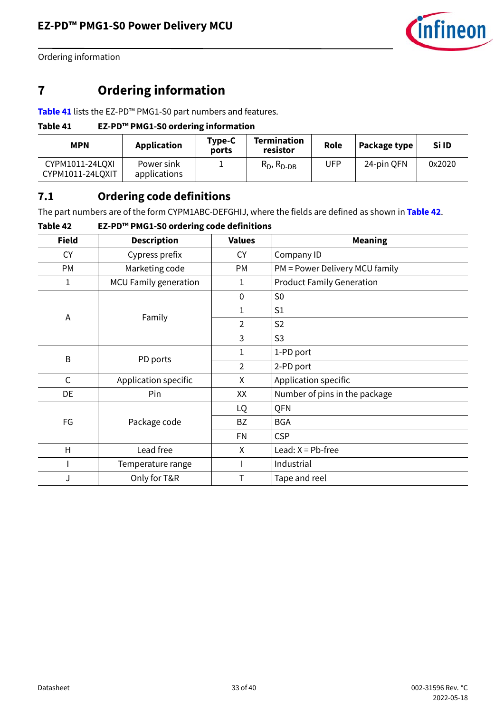

Ordering information

## <span id="page-32-0"></span>**7 Ordering information**

**[Table 41](#page-32-2)** lists the EZ-PD™ PMG1-S0 part numbers and features.

#### <span id="page-32-2"></span>**Table 41 EZ-PD™ PMG1-S0 ordering information**

| <b>MPN</b>                          | Application                | Type-C<br>ports | Termination<br>resistor | Role | Package type | Si ID  |
|-------------------------------------|----------------------------|-----------------|-------------------------|------|--------------|--------|
| CYPM1011-24LQXI<br>CYPM1011-24LQXIT | Power sink<br>applications |                 | $R_D, R_{D-DB}$         | JFP. | 24-pin QFN   | 0x2020 |

## <span id="page-32-1"></span>**7.1 Ordering code definitions**

The part numbers are of the form CYPM1ABC-DEFGHIJ, where the fields are defined as shown in **[Table 42](#page-32-3)**.

#### <span id="page-32-3"></span>**Table 42 EZ-PD™ PMG1-S0 ordering code definitions**

| <b>Field</b> | <b>Description</b>           | <b>Values</b>  | <b>Meaning</b>                   |
|--------------|------------------------------|----------------|----------------------------------|
| <b>CY</b>    | Cypress prefix               | <b>CY</b>      | Company ID                       |
| PM           | Marketing code               | PM             | PM = Power Delivery MCU family   |
| 1            | <b>MCU Family generation</b> | $\mathbf{1}$   | <b>Product Family Generation</b> |
|              |                              | 0              | S <sub>0</sub>                   |
| Α            | Family                       | 1              | S <sub>1</sub>                   |
|              |                              | $\overline{2}$ | S <sub>2</sub>                   |
|              |                              | 3              | S <sub>3</sub>                   |
| B            |                              |                | 1-PD port                        |
|              | PD ports                     | $\overline{2}$ | 2-PD port                        |
| C            | Application specific         | Χ              | Application specific             |
| DE           | Pin                          | XX             | Number of pins in the package    |
|              |                              | LQ             | QFN                              |
| FG           | Package code                 | <b>BZ</b>      | <b>BGA</b>                       |
|              |                              | <b>FN</b>      | <b>CSP</b>                       |
| H            | Lead free                    | X              | Lead: $X = Pb$ -free             |
|              | Temperature range            |                | Industrial                       |
|              | Only for T&R                 |                | Tape and reel                    |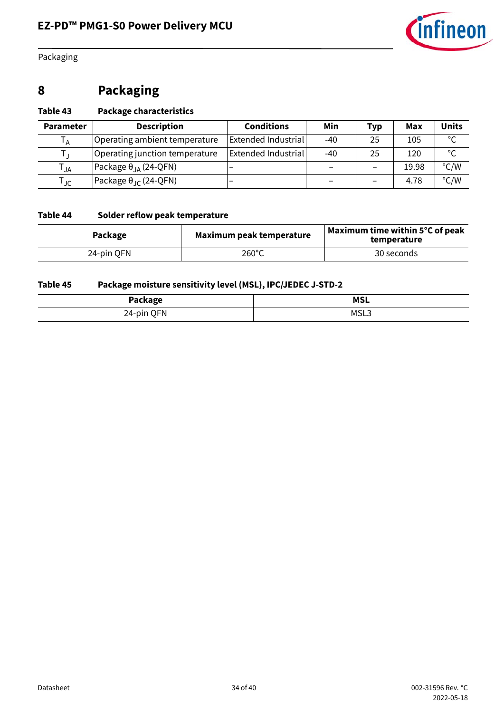

Packaging

## <span id="page-33-0"></span>**8 Packaging**

## **Table 43 Package characteristics**

| <b>Parameter</b>           | <b>Description</b>                      | <b>Conditions</b>          | Min   | <b>Typ</b>               | Max   | <b>Units</b>  |
|----------------------------|-----------------------------------------|----------------------------|-------|--------------------------|-------|---------------|
| ľΑ                         | Operating ambient temperature           | <b>Extended Industrial</b> | $-40$ | 25                       | 105   | $\mathcal{C}$ |
|                            | Operating junction temperature          | <b>Extended Industrial</b> | $-40$ | 25                       | 120   | °C            |
| $\mathsf{T}_{\mathsf{JA}}$ | Package $\theta_{IA}$ (24-QFN)          |                            |       | $\overline{\phantom{m}}$ | 19.98 | $\degree$ C/W |
| <b>JC</b>                  | Package $\theta$ <sub>IC</sub> (24-QFN) | -                          |       | $\overline{\phantom{m}}$ | 4.78  | $\degree$ C/W |

#### **Table 44 Solder reflow peak temperature**

| Package    | Maximum peak temperature | Maximum time within 5°C of peak<br>temperature |
|------------|--------------------------|------------------------------------------------|
| 24-pin QFN | $260^{\circ}$ C          | 30 seconds                                     |

### **Table 45 Package moisture sensitivity level (MSL), IPC/JEDEC J-STD-2**

| Package              | MCI<br>MJL  |
|----------------------|-------------|
| <b>CFN</b><br>24-pin | <b>MSL3</b> |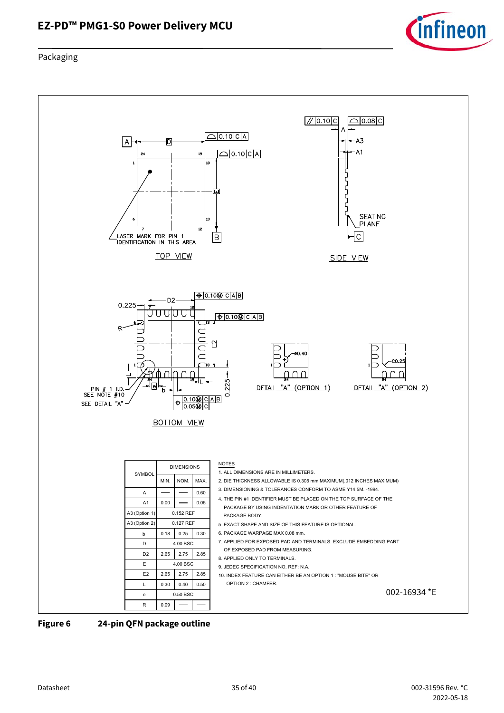

#### Packaging



<span id="page-34-0"></span>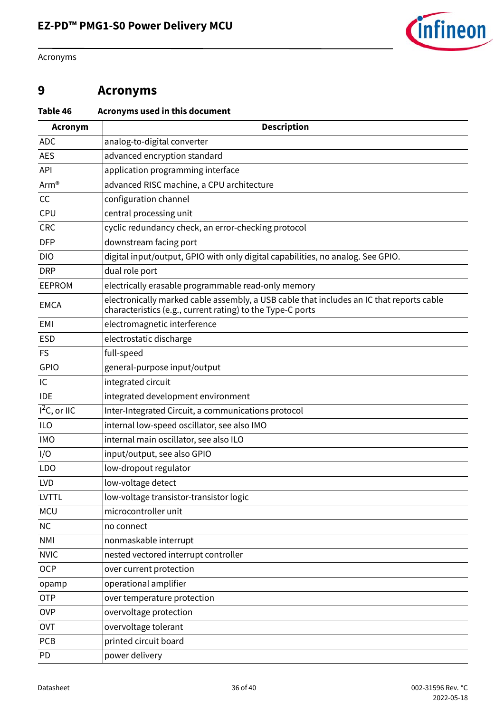

Acronyms

## <span id="page-35-0"></span>**9 Acronyms**

## **Table 46 Acronyms used in this document**

| <b>Acronym</b>  | <b>Description</b>                                                                                                                                     |  |  |
|-----------------|--------------------------------------------------------------------------------------------------------------------------------------------------------|--|--|
| <b>ADC</b>      | analog-to-digital converter                                                                                                                            |  |  |
| <b>AES</b>      | advanced encryption standard                                                                                                                           |  |  |
| <b>API</b>      | application programming interface                                                                                                                      |  |  |
| Arm®            | advanced RISC machine, a CPU architecture                                                                                                              |  |  |
| CC              | configuration channel                                                                                                                                  |  |  |
| CPU             | central processing unit                                                                                                                                |  |  |
| <b>CRC</b>      | cyclic redundancy check, an error-checking protocol                                                                                                    |  |  |
| <b>DFP</b>      | downstream facing port                                                                                                                                 |  |  |
| <b>DIO</b>      | digital input/output, GPIO with only digital capabilities, no analog. See GPIO.                                                                        |  |  |
| <b>DRP</b>      | dual role port                                                                                                                                         |  |  |
| <b>EEPROM</b>   | electrically erasable programmable read-only memory                                                                                                    |  |  |
| <b>EMCA</b>     | electronically marked cable assembly, a USB cable that includes an IC that reports cable<br>characteristics (e.g., current rating) to the Type-C ports |  |  |
| EMI             | electromagnetic interference                                                                                                                           |  |  |
| <b>ESD</b>      | electrostatic discharge                                                                                                                                |  |  |
| <b>FS</b>       | full-speed                                                                                                                                             |  |  |
| GPIO            | general-purpose input/output                                                                                                                           |  |  |
| IC              | integrated circuit                                                                                                                                     |  |  |
| <b>IDE</b>      | integrated development environment                                                                                                                     |  |  |
| $I^2C$ , or IIC | Inter-Integrated Circuit, a communications protocol                                                                                                    |  |  |
| <b>ILO</b>      | internal low-speed oscillator, see also IMO                                                                                                            |  |  |
| <b>IMO</b>      | internal main oscillator, see also ILO                                                                                                                 |  |  |
| I/O             | input/output, see also GPIO                                                                                                                            |  |  |
| <b>LDO</b>      | low-dropout regulator                                                                                                                                  |  |  |
| <b>LVD</b>      | low-voltage detect                                                                                                                                     |  |  |
| <b>LVTTL</b>    | low-voltage transistor-transistor logic                                                                                                                |  |  |
| <b>MCU</b>      | microcontroller unit                                                                                                                                   |  |  |
| <b>NC</b>       | no connect                                                                                                                                             |  |  |
| <b>NMI</b>      | nonmaskable interrupt                                                                                                                                  |  |  |
| <b>NVIC</b>     | nested vectored interrupt controller                                                                                                                   |  |  |
| <b>OCP</b>      | over current protection                                                                                                                                |  |  |
| opamp           | operational amplifier                                                                                                                                  |  |  |
| <b>OTP</b>      | over temperature protection                                                                                                                            |  |  |
| <b>OVP</b>      | overvoltage protection                                                                                                                                 |  |  |
| <b>OVT</b>      | overvoltage tolerant                                                                                                                                   |  |  |
| PCB             | printed circuit board                                                                                                                                  |  |  |
| PD              | power delivery                                                                                                                                         |  |  |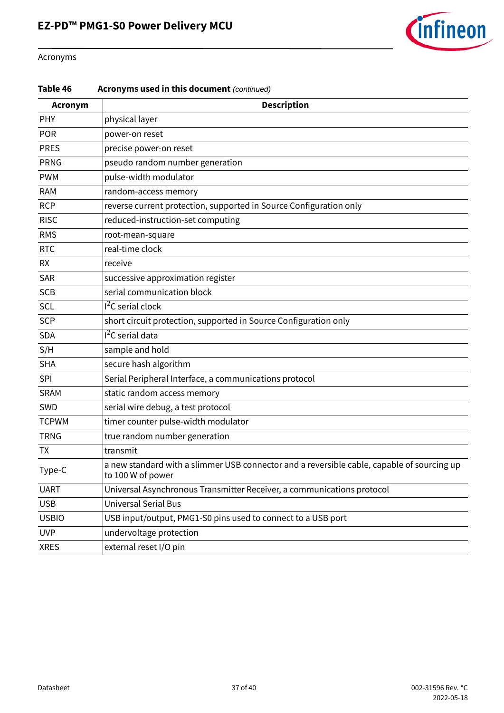

Acronyms

#### **Table 46 Acronyms used in this document** *(continued)*

| <b>Acronym</b> | <b>Description</b>                                                                                              |  |  |
|----------------|-----------------------------------------------------------------------------------------------------------------|--|--|
| PHY            | physical layer                                                                                                  |  |  |
| <b>POR</b>     | power-on reset                                                                                                  |  |  |
| <b>PRES</b>    | precise power-on reset                                                                                          |  |  |
| <b>PRNG</b>    | pseudo random number generation                                                                                 |  |  |
| <b>PWM</b>     | pulse-width modulator                                                                                           |  |  |
| <b>RAM</b>     | random-access memory                                                                                            |  |  |
| <b>RCP</b>     | reverse current protection, supported in Source Configuration only                                              |  |  |
| <b>RISC</b>    | reduced-instruction-set computing                                                                               |  |  |
| <b>RMS</b>     | root-mean-square                                                                                                |  |  |
| <b>RTC</b>     | real-time clock                                                                                                 |  |  |
| <b>RX</b>      | receive                                                                                                         |  |  |
| SAR            | successive approximation register                                                                               |  |  |
| <b>SCB</b>     | serial communication block                                                                                      |  |  |
| <b>SCL</b>     | $12C$ serial clock                                                                                              |  |  |
| <b>SCP</b>     | short circuit protection, supported in Source Configuration only                                                |  |  |
| <b>SDA</b>     | I <sup>2</sup> C serial data                                                                                    |  |  |
| S/H            | sample and hold                                                                                                 |  |  |
| <b>SHA</b>     | secure hash algorithm                                                                                           |  |  |
| SPI            | Serial Peripheral Interface, a communications protocol                                                          |  |  |
| <b>SRAM</b>    | static random access memory                                                                                     |  |  |
| SWD            | serial wire debug, a test protocol                                                                              |  |  |
| <b>TCPWM</b>   | timer counter pulse-width modulator                                                                             |  |  |
| <b>TRNG</b>    | true random number generation                                                                                   |  |  |
| <b>TX</b>      | transmit                                                                                                        |  |  |
| Type-C         | a new standard with a slimmer USB connector and a reversible cable, capable of sourcing up<br>to 100 W of power |  |  |
| <b>UART</b>    | Universal Asynchronous Transmitter Receiver, a communications protocol                                          |  |  |
| <b>USB</b>     | <b>Universal Serial Bus</b>                                                                                     |  |  |
| <b>USBIO</b>   | USB input/output, PMG1-S0 pins used to connect to a USB port                                                    |  |  |
| <b>UVP</b>     | undervoltage protection                                                                                         |  |  |
| <b>XRES</b>    | external reset I/O pin                                                                                          |  |  |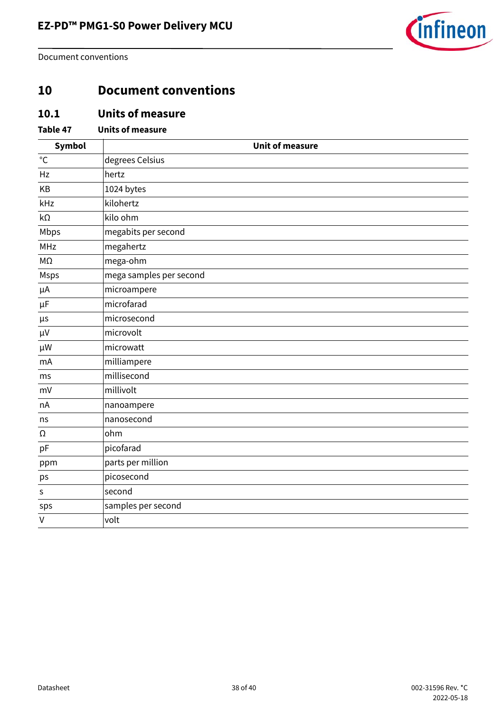

Document conventions

## <span id="page-37-0"></span>**10 Document conventions**

## <span id="page-37-1"></span>**10.1 Units of measure**

#### **Table 47 Units of measure**

| Symbol            | <b>Unit of measure</b>  |  |  |  |
|-------------------|-------------------------|--|--|--|
| $^{\circ}{\rm C}$ | degrees Celsius         |  |  |  |
| Hz                | hertz                   |  |  |  |
| KB                | 1024 bytes              |  |  |  |
| kHz               | kilohertz               |  |  |  |
| kΩ                | kilo ohm                |  |  |  |
| Mbps              | megabits per second     |  |  |  |
| MHz               | megahertz               |  |  |  |
| $M\Omega$         | mega-ohm                |  |  |  |
| Msps              | mega samples per second |  |  |  |
| $\mu A$           | microampere             |  |  |  |
| $\mu$ F           | microfarad              |  |  |  |
| μs                | microsecond             |  |  |  |
| μV                | microvolt               |  |  |  |
| $\mu$ W           | microwatt               |  |  |  |
| mA                | milliampere             |  |  |  |
| ms                | millisecond             |  |  |  |
| mV                | millivolt               |  |  |  |
| nA                | nanoampere              |  |  |  |
| ns                | nanosecond              |  |  |  |
| Ω                 | ohm                     |  |  |  |
| pF                | picofarad               |  |  |  |
| ppm               | parts per million       |  |  |  |
| ps                | picosecond              |  |  |  |
| S                 | second                  |  |  |  |
| sps               | samples per second      |  |  |  |
| $\mathsf{V}$      | volt                    |  |  |  |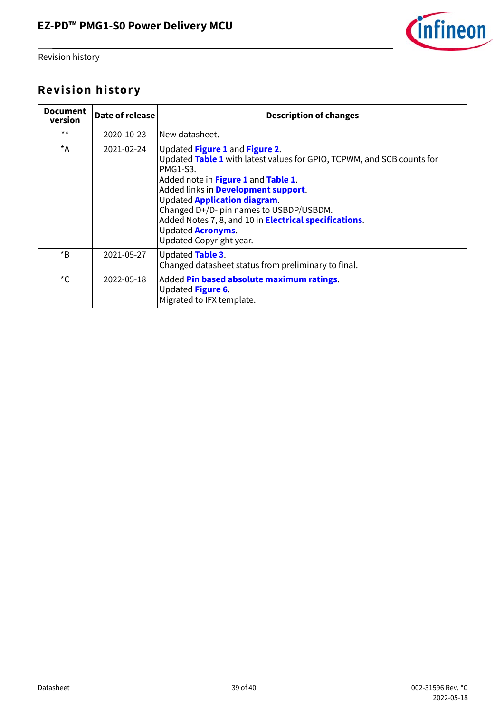

Revision history

## <span id="page-38-0"></span>**Revision history**

| <b>Document</b><br>version | Date of release | <b>Description of changes</b>                                                                                                                                                                                                                                                                                                                                                                                        |
|----------------------------|-----------------|----------------------------------------------------------------------------------------------------------------------------------------------------------------------------------------------------------------------------------------------------------------------------------------------------------------------------------------------------------------------------------------------------------------------|
| $***$                      | 2020-10-23      | New datasheet.                                                                                                                                                                                                                                                                                                                                                                                                       |
| $*_{A}$                    | 2021-02-24      | Updated Figure 1 and Figure 2.<br>Updated Table 1 with latest values for GPIO, TCPWM, and SCB counts for<br><b>PMG1-S3.</b><br>Added note in Figure 1 and Table 1.<br>Added links in Development support.<br><b>Updated Application diagram.</b><br>Changed D+/D- pin names to USBDP/USBDM.<br>Added Notes 7, 8, and 10 in <b>Electrical specifications</b> .<br><b>Updated Acronyms.</b><br>Updated Copyright year. |
| $*_{\mathsf{B}}$           | 2021-05-27      | Updated Table 3.<br>Changed datasheet status from preliminary to final.                                                                                                                                                                                                                                                                                                                                              |
| *C                         | 2022-05-18      | Added Pin based absolute maximum ratings.<br>Updated Figure 6.<br>Migrated to IFX template.                                                                                                                                                                                                                                                                                                                          |